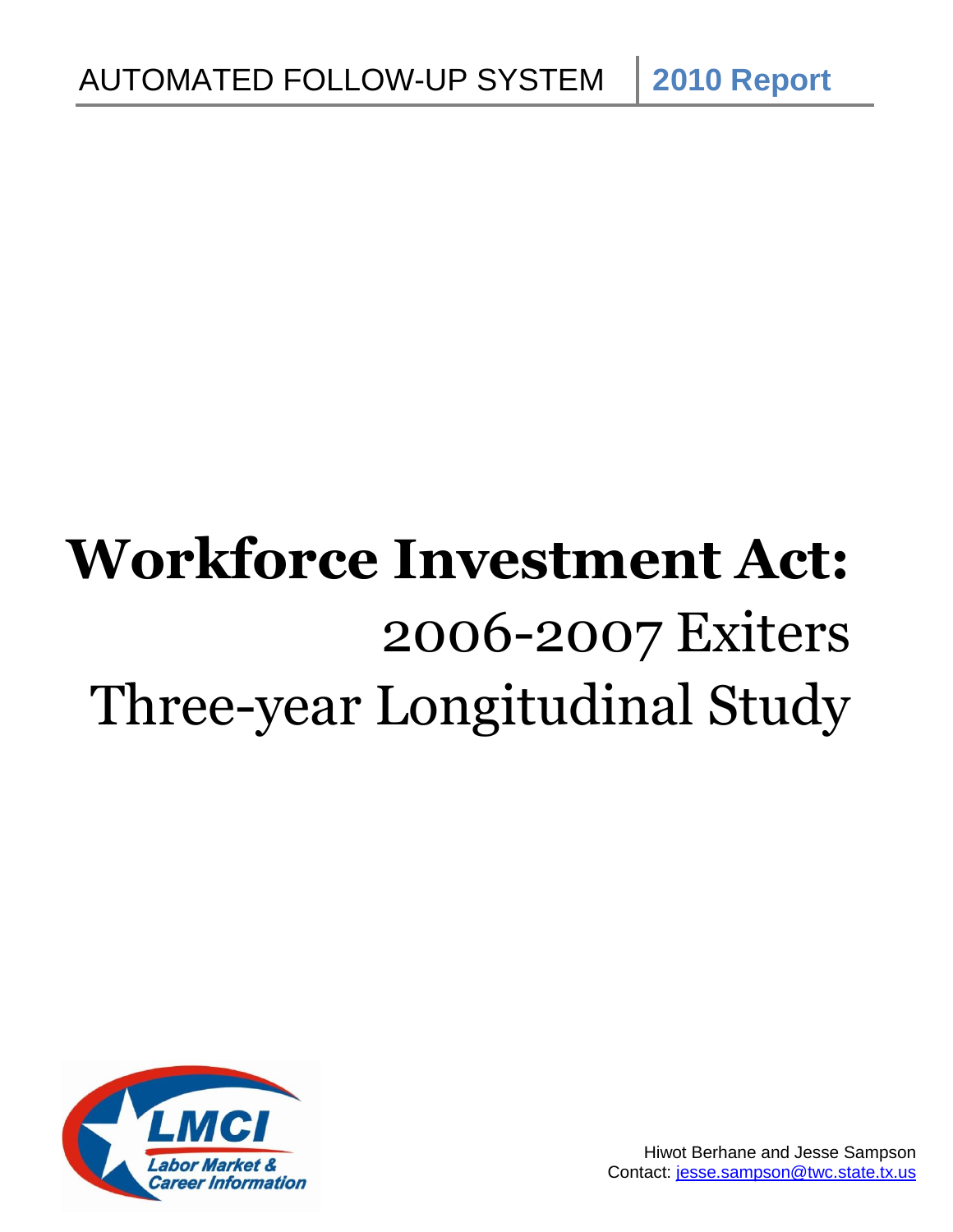# **Workforce Investment Act:** 2006-2007 Exiters Three-year Longitudinal Study

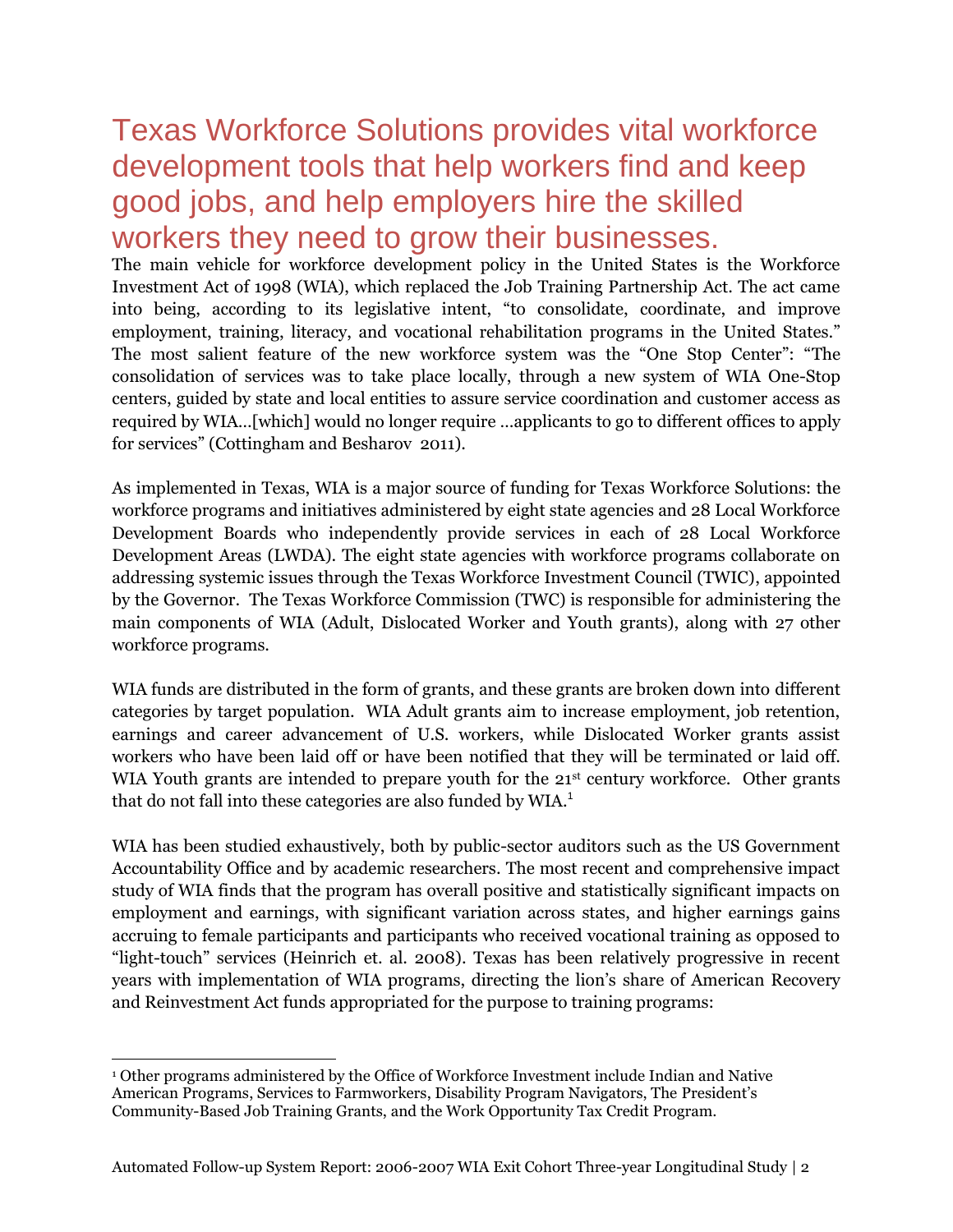## Texas Workforce Solutions provides vital workforce development tools that help workers find and keep good jobs, and help employers hire the skilled workers they need to grow their businesses.

The main vehicle for workforce development policy in the United States is the Workforce Investment Act of 1998 (WIA), which replaced the Job Training Partnership Act. The act came into being, according to its legislative intent, "to consolidate, coordinate, and improve employment, training, literacy, and vocational rehabilitation programs in the United States." The most salient feature of the new workforce system was the "One Stop Center": "The consolidation of services was to take place locally, through a new system of WIA One-Stop centers, guided by state and local entities to assure service coordination and customer access as required by WIA…[which] would no longer require …applicants to go to different offices to apply for services" (Cottingham and Besharov 2011).

As implemented in Texas, WIA is a major source of funding for Texas Workforce Solutions: the workforce programs and initiatives administered by eight state agencies and 28 Local Workforce Development Boards who independently provide services in each of 28 Local Workforce Development Areas (LWDA). The eight state agencies with workforce programs collaborate on addressing systemic issues through the Texas Workforce Investment Council (TWIC), appointed by the Governor. The Texas Workforce Commission (TWC) is responsible for administering the main components of WIA (Adult, Dislocated Worker and Youth grants), along with 27 other workforce programs.

WIA funds are distributed in the form of grants, and these grants are broken down into different categories by target population. WIA Adult grants aim to increase employment, job retention, earnings and career advancement of U.S. workers, while Dislocated Worker grants assist workers who have been laid off or have been notified that they will be terminated or laid off. WIA Youth grants are intended to prepare youth for the 21<sup>st</sup> century workforce. Other grants that do not fall into these categories are also funded by WIA. $^1$ 

WIA has been studied exhaustively, both by public-sector auditors such as the US Government Accountability Office and by academic researchers. The most recent and comprehensive impact study of WIA finds that the program has overall positive and statistically significant impacts on employment and earnings, with significant variation across states, and higher earnings gains accruing to female participants and participants who received vocational training as opposed to "light-touch" services (Heinrich et. al. 2008). Texas has been relatively progressive in recent years with implementation of WIA programs, directing the lion's share of American Recovery and Reinvestment Act funds appropriated for the purpose to training programs:

 $\overline{a}$ <sup>1</sup> Other programs administered by the Office of Workforce Investment include Indian and Native American Programs, Services to Farmworkers, Disability Program Navigators, The President's Community-Based Job Training Grants, and the Work Opportunity Tax Credit Program.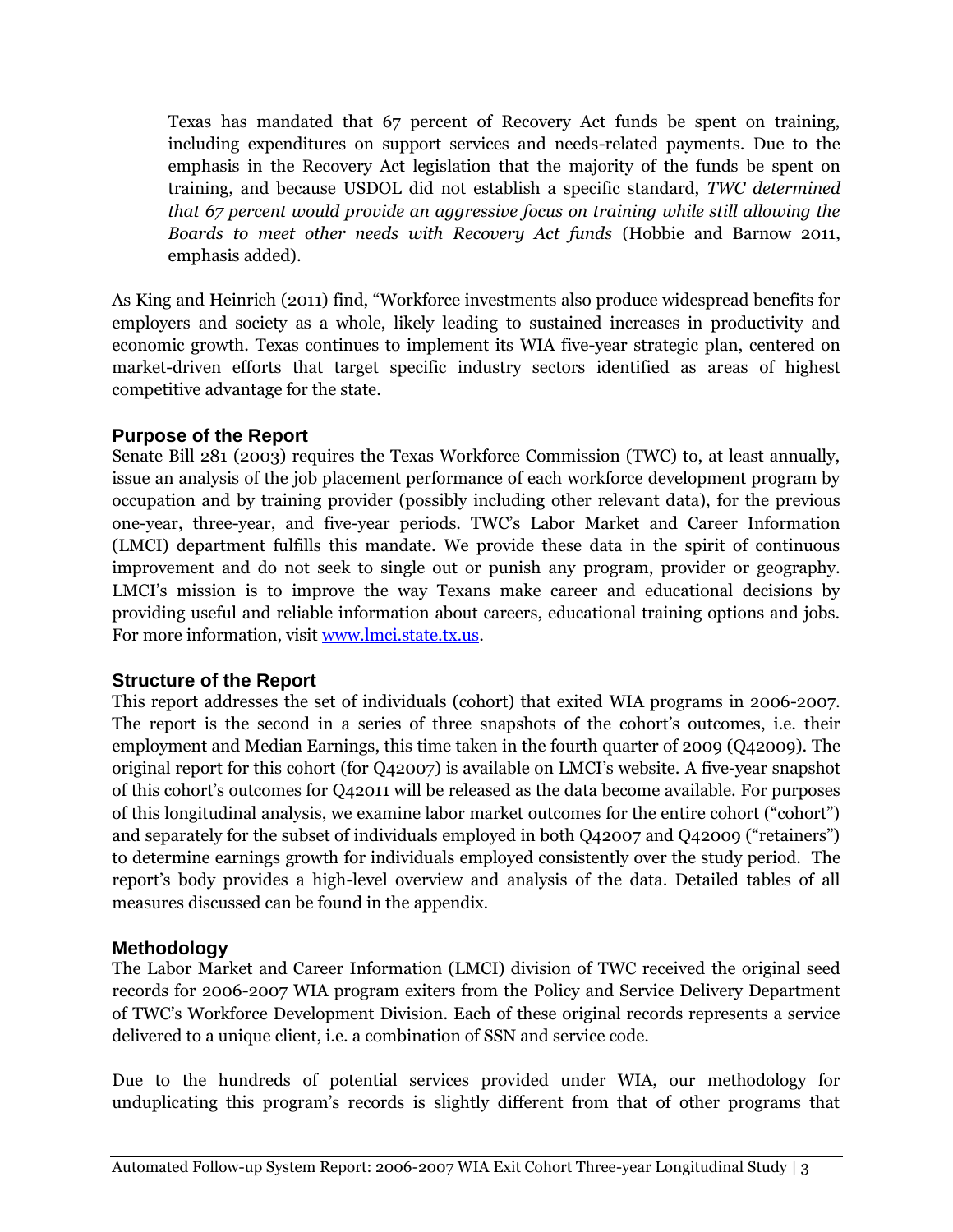Texas has mandated that 67 percent of Recovery Act funds be spent on training, including expenditures on support services and needs-related payments. Due to the emphasis in the Recovery Act legislation that the majority of the funds be spent on training, and because USDOL did not establish a specific standard, *TWC determined that 67 percent would provide an aggressive focus on training while still allowing the Boards to meet other needs with Recovery Act funds* (Hobbie and Barnow 2011, emphasis added).

As King and Heinrich (2011) find, "Workforce investments also produce widespread benefits for employers and society as a whole, likely leading to sustained increases in productivity and economic growth. Texas continues to implement its WIA five-year strategic plan, centered on market-driven efforts that target specific industry sectors identified as areas of highest competitive advantage for the state.

#### **Purpose of the Report**

Senate Bill 281 (2003) requires the Texas Workforce Commission (TWC) to, at least annually, issue an analysis of the job placement performance of each workforce development program by occupation and by training provider (possibly including other relevant data), for the previous one-year, three-year, and five-year periods. TWC's Labor Market and Career Information (LMCI) department fulfills this mandate. We provide these data in the spirit of continuous improvement and do not seek to single out or punish any program, provider or geography. LMCI's mission is to improve the way Texans make career and educational decisions by providing useful and reliable information about careers, educational training options and jobs. For more information, visit [www.lmci.state.tx.us.](http://www.lmci.state.tx.us/)

#### **Structure of the Report**

This report addresses the set of individuals (cohort) that exited WIA programs in 2006-2007. The report is the second in a series of three snapshots of the cohort's outcomes, i.e. their employment and Median Earnings, this time taken in the fourth quarter of 2009 (Q42009). The original report for this cohort (for Q42007) is available on LMCI's website. A five-year snapshot of this cohort's outcomes for Q42011 will be released as the data become available. For purposes of this longitudinal analysis, we examine labor market outcomes for the entire cohort ("cohort") and separately for the subset of individuals employed in both Q42007 and Q42009 ("retainers") to determine earnings growth for individuals employed consistently over the study period. The report's body provides a high-level overview and analysis of the data. Detailed tables of all measures discussed can be found in the appendix.

#### **Methodology**

The Labor Market and Career Information (LMCI) division of TWC received the original seed records for 2006-2007 WIA program exiters from the Policy and Service Delivery Department of TWC's Workforce Development Division. Each of these original records represents a service delivered to a unique client, i.e. a combination of SSN and service code.

Due to the hundreds of potential services provided under WIA, our methodology for unduplicating this program's records is slightly different from that of other programs that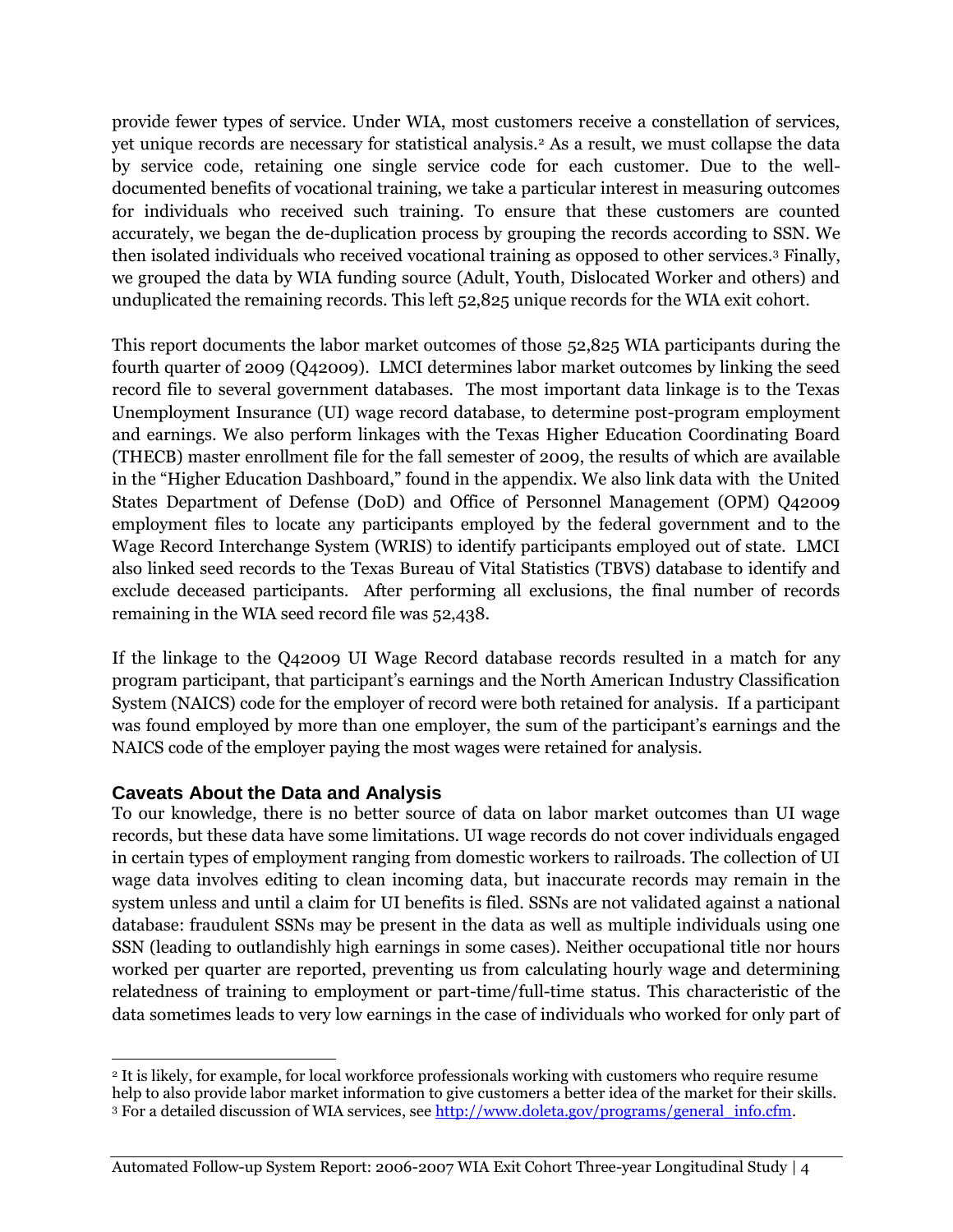provide fewer types of service. Under WIA, most customers receive a constellation of services, yet unique records are necessary for statistical analysis.<sup>2</sup> As a result, we must collapse the data by service code, retaining one single service code for each customer. Due to the welldocumented benefits of vocational training, we take a particular interest in measuring outcomes for individuals who received such training. To ensure that these customers are counted accurately, we began the de-duplication process by grouping the records according to SSN. We then isolated individuals who received vocational training as opposed to other services.<sup>3</sup> Finally, we grouped the data by WIA funding source (Adult, Youth, Dislocated Worker and others) and unduplicated the remaining records. This left 52,825 unique records for the WIA exit cohort.

This report documents the labor market outcomes of those 52,825 WIA participants during the fourth quarter of 2009 (Q42009). LMCI determines labor market outcomes by linking the seed record file to several government databases. The most important data linkage is to the Texas Unemployment Insurance (UI) wage record database, to determine post-program employment and earnings. We also perform linkages with the Texas Higher Education Coordinating Board (THECB) master enrollment file for the fall semester of 2009, the results of which are available in the "Higher Education Dashboard," found in the appendix. We also link data with the United States Department of Defense (DoD) and Office of Personnel Management (OPM) Q42009 employment files to locate any participants employed by the federal government and to the Wage Record Interchange System (WRIS) to identify participants employed out of state. LMCI also linked seed records to the Texas Bureau of Vital Statistics (TBVS) database to identify and exclude deceased participants. After performing all exclusions, the final number of records remaining in the WIA seed record file was 52,438.

If the linkage to the Q42009 UI Wage Record database records resulted in a match for any program participant, that participant's earnings and the North American Industry Classification System (NAICS) code for the employer of record were both retained for analysis. If a participant was found employed by more than one employer, the sum of the participant's earnings and the NAICS code of the employer paying the most wages were retained for analysis.

#### **Caveats About the Data and Analysis**

To our knowledge, there is no better source of data on labor market outcomes than UI wage records, but these data have some limitations. UI wage records do not cover individuals engaged in certain types of employment ranging from domestic workers to railroads. The collection of UI wage data involves editing to clean incoming data, but inaccurate records may remain in the system unless and until a claim for UI benefits is filed. SSNs are not validated against a national database: fraudulent SSNs may be present in the data as well as multiple individuals using one SSN (leading to outlandishly high earnings in some cases). Neither occupational title nor hours worked per quarter are reported, preventing us from calculating hourly wage and determining relatedness of training to employment or part-time/full-time status. This characteristic of the data sometimes leads to very low earnings in the case of individuals who worked for only part of

 $\overline{a}$ <sup>2</sup> It is likely, for example, for local workforce professionals working with customers who require resume help to also provide labor market information to give customers a better idea of the market for their skills. <sup>3</sup> For a detailed discussion of WIA services, see [http://www.doleta.gov/programs/general\\_info.cfm.](http://www.doleta.gov/programs/general_info.cfm)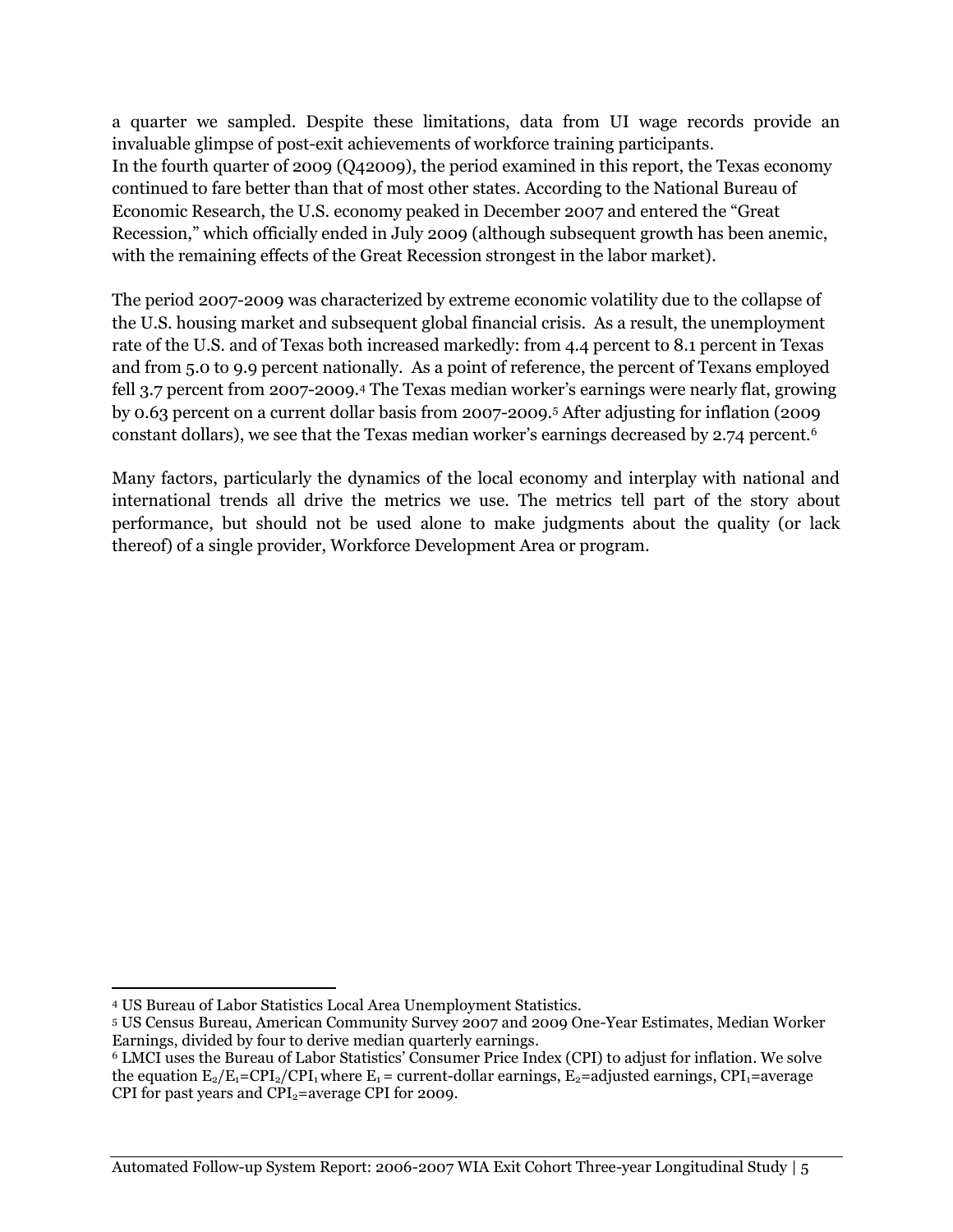a quarter we sampled. Despite these limitations, data from UI wage records provide an invaluable glimpse of post-exit achievements of workforce training participants. In the fourth quarter of 2009 (Q42009), the period examined in this report, the Texas economy continued to fare better than that of most other states. According to the National Bureau of Economic Research, the U.S. economy peaked in December 2007 and entered the "Great Recession," which officially ended in July 2009 (although subsequent growth has been anemic, with the remaining effects of the Great Recession strongest in the labor market).

The period 2007-2009 was characterized by extreme economic volatility due to the collapse of the U.S. housing market and subsequent global financial crisis. As a result, the unemployment rate of the U.S. and of Texas both increased markedly: from 4.4 percent to 8.1 percent in Texas and from 5.0 to 9.9 percent nationally. As a point of reference, the percent of Texans employed fell 3.7 percent from 2007-2009.<sup>4</sup> The Texas median worker's earnings were nearly flat, growing by 0.63 percent on a current dollar basis from 2007-2009.<sup>5</sup> After adjusting for inflation (2009 constant dollars), we see that the Texas median worker's earnings decreased by 2.74 percent.<sup>6</sup>

Many factors, particularly the dynamics of the local economy and interplay with national and international trends all drive the metrics we use. The metrics tell part of the story about performance, but should not be used alone to make judgments about the quality (or lack thereof) of a single provider, Workforce Development Area or program.

 $\overline{a}$ <sup>4</sup> US Bureau of Labor Statistics Local Area Unemployment Statistics.

<sup>5</sup> US Census Bureau, American Community Survey 2007 and 2009 One-Year Estimates, Median Worker Earnings, divided by four to derive median quarterly earnings.

<sup>6</sup> LMCI uses the Bureau of Labor Statistics' Consumer Price Index (CPI) to adjust for inflation. We solve the equation  $E_2/E_1=CPI_2/CPI_1$  where  $E_1$  = current-dollar earnings,  $E_2$  = adjusted earnings, CPI<sub>1</sub>=average CPI for past years and  $\text{CPI}_2$ =average CPI for 2009.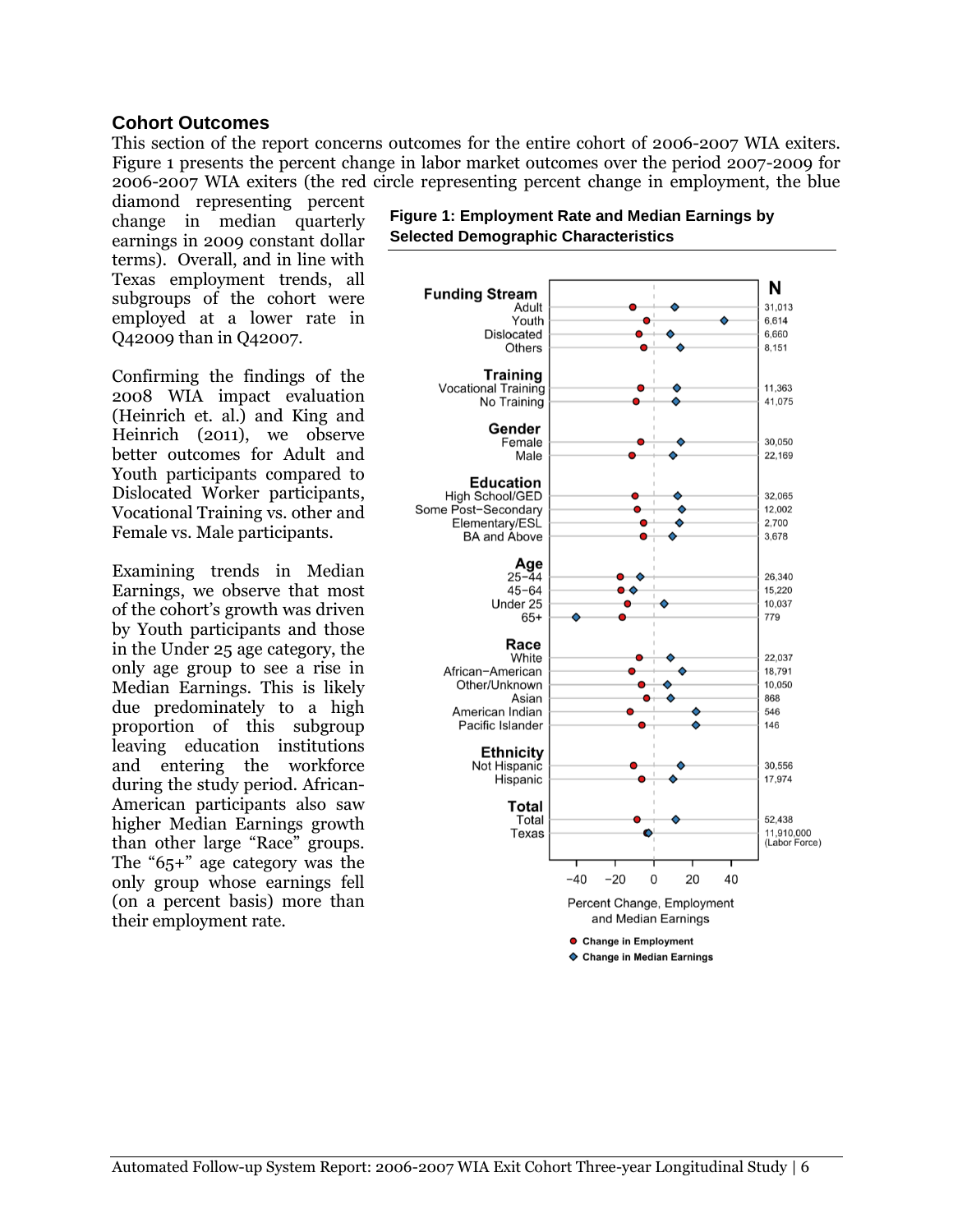#### **Cohort Outcomes**

This section of the report concerns outcomes for the entire cohort of 2006-2007 WIA exiters. Figure 1 presents the percent change in labor market outcomes over the period 2007-2009 for 2006-2007 WIA exiters (the red circle representing percent change in employment, the blue

diamond representing percent change in median quarterly earnings in 2009 constant dollar terms). Overall, and in line with Texas employment trends, all subgroups of the cohort were employed at a lower rate in Q42009 than in Q42007.

Confirming the findings of the 2008 WIA impact evaluation (Heinrich et. al.) and King and Heinrich (2011), we observe better outcomes for Adult and Youth participants compared to Dislocated Worker participants, Vocational Training vs. other and Female vs. Male participants.

Examining trends in Median Earnings, we observe that most of the cohort's growth was driven by Youth participants and those in the Under 25 age category, the only age group to see a rise in Median Earnings. This is likely due predominately to a high proportion of this subgroup leaving education institutions and entering the workforce during the study period. African-American participants also saw higher Median Earnings growth than other large "Race" groups. The "65+" age category was the only group whose earnings fell (on a percent basis) more than their employment rate.



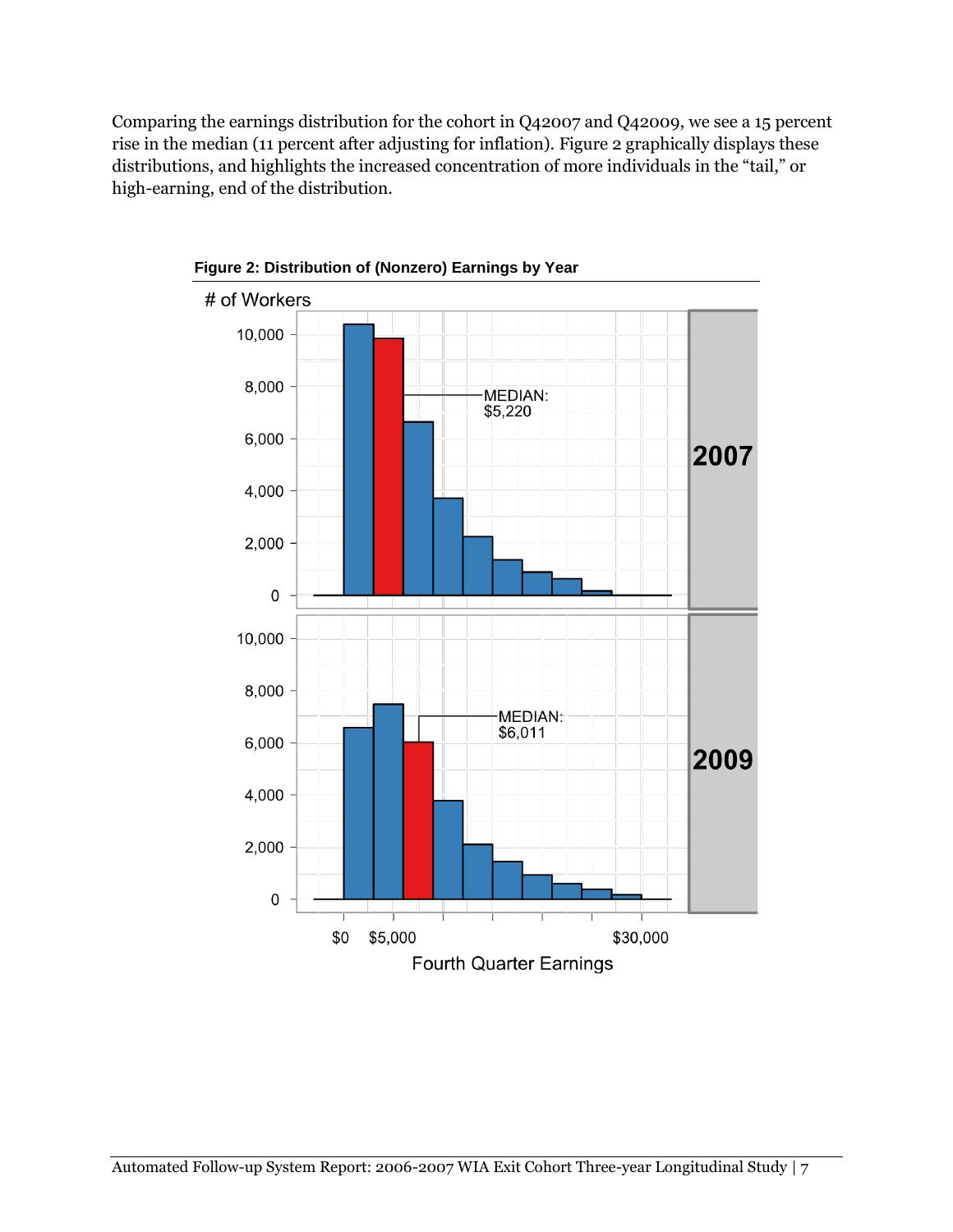Comparing the earnings distribution for the cohort in Q42007 and Q42009, we see a 15 percent rise in the median (11 percent after adjusting for inflation). Figure 2 graphically displays these distributions, and highlights the increased concentration of more individuals in the "tail," or high-earning, end of the distribution.



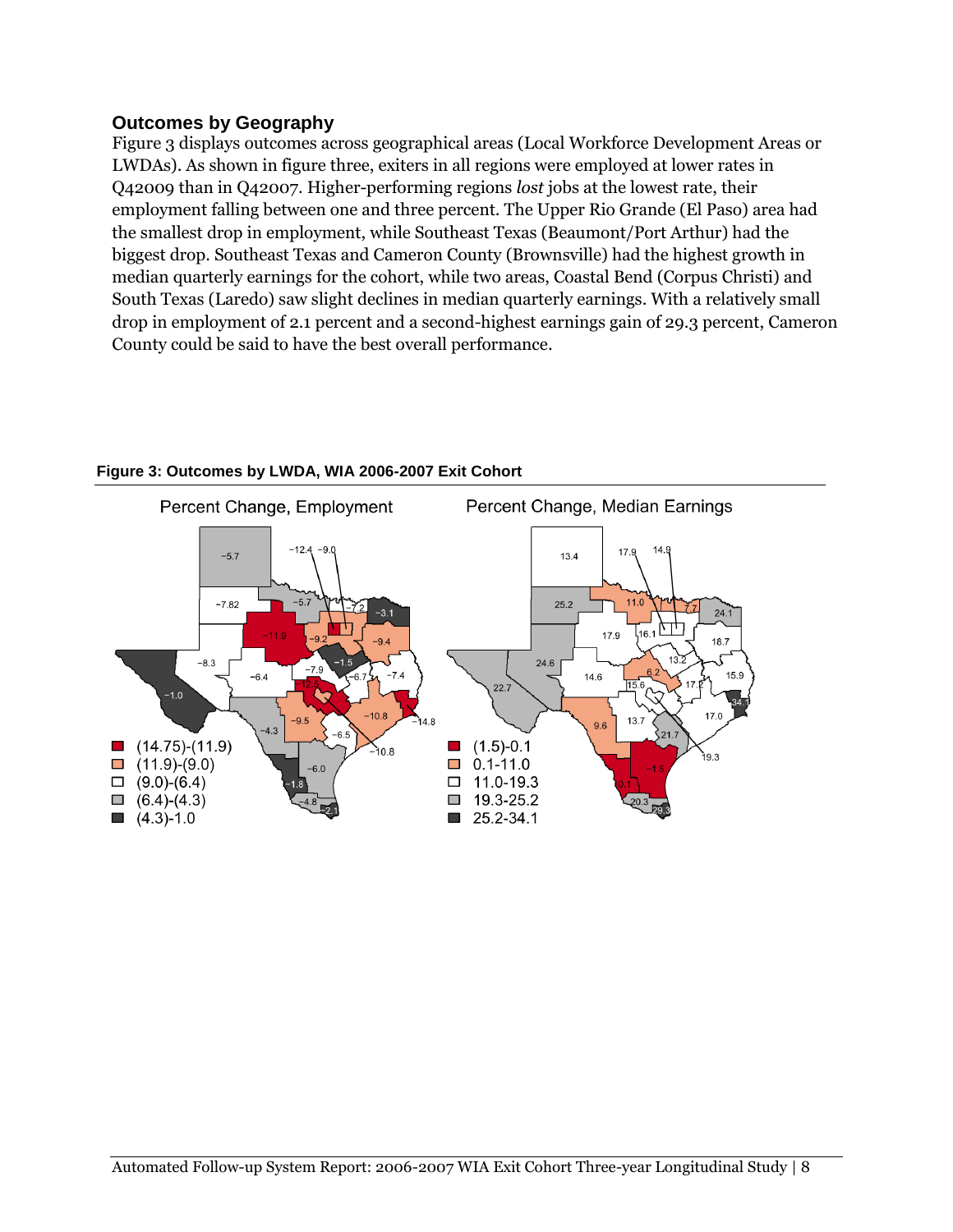#### **Outcomes by Geography**

Figure 3 displays outcomes across geographical areas (Local Workforce Development Areas or LWDAs). As shown in figure three, exiters in all regions were employed at lower rates in Q42009 than in Q42007. Higher-performing regions *lost* jobs at the lowest rate, their employment falling between one and three percent. The Upper Rio Grande (El Paso) area had the smallest drop in employment, while Southeast Texas (Beaumont/Port Arthur) had the biggest drop. Southeast Texas and Cameron County (Brownsville) had the highest growth in median quarterly earnings for the cohort, while two areas, Coastal Bend (Corpus Christi) and South Texas (Laredo) saw slight declines in median quarterly earnings. With a relatively small drop in employment of 2.1 percent and a second-highest earnings gain of 29.3 percent, Cameron County could be said to have the best overall performance.



#### **Figure 3: Outcomes by LWDA, WIA 2006-2007 Exit Cohort**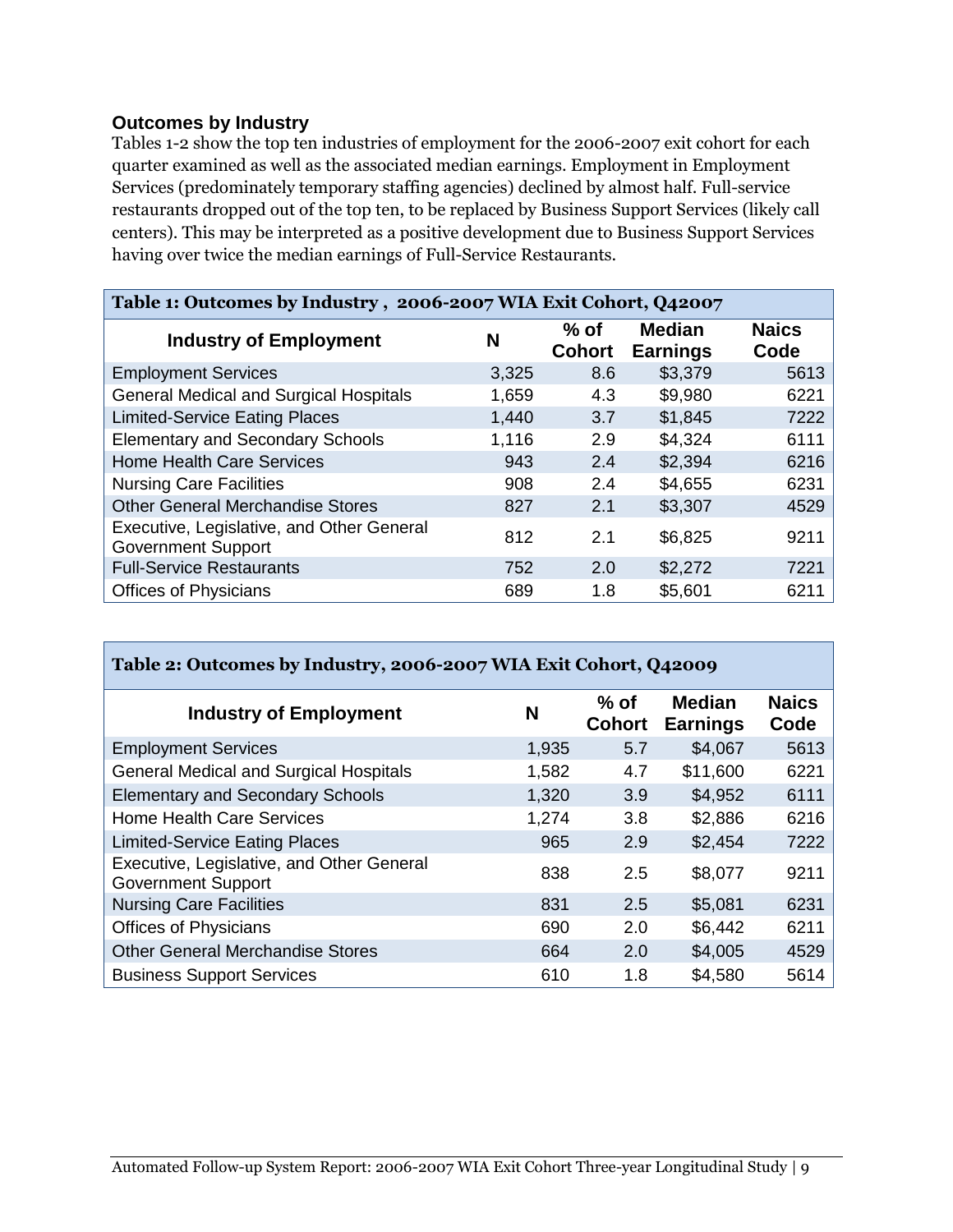#### **Outcomes by Industry**

Tables 1-2 show the top ten industries of employment for the 2006-2007 exit cohort for each quarter examined as well as the associated median earnings. Employment in Employment Services (predominately temporary staffing agencies) declined by almost half. Full-service restaurants dropped out of the top ten, to be replaced by Business Support Services (likely call centers). This may be interpreted as a positive development due to Business Support Services having over twice the median earnings of Full-Service Restaurants.

| Table 1: Outcomes by Industry, 2006-2007 WIA Exit Cohort, Q42007       |       |                         |                                  |                      |  |
|------------------------------------------------------------------------|-------|-------------------------|----------------------------------|----------------------|--|
| <b>Industry of Employment</b>                                          | N     | $%$ of<br><b>Cohort</b> | <b>Median</b><br><b>Earnings</b> | <b>Naics</b><br>Code |  |
| <b>Employment Services</b>                                             | 3,325 | 8.6                     | \$3,379                          | 5613                 |  |
| <b>General Medical and Surgical Hospitals</b>                          | 1,659 | 4.3                     | \$9,980                          | 6221                 |  |
| <b>Limited-Service Eating Places</b>                                   | 1,440 | 3.7                     | \$1,845                          | 7222                 |  |
| <b>Elementary and Secondary Schools</b>                                | 1,116 | 2.9                     | \$4,324                          | 6111                 |  |
| <b>Home Health Care Services</b>                                       | 943   | 2.4                     | \$2,394                          | 6216                 |  |
| <b>Nursing Care Facilities</b>                                         | 908   | 2.4                     | \$4,655                          | 6231                 |  |
| <b>Other General Merchandise Stores</b>                                | 827   | 2.1                     | \$3,307                          | 4529                 |  |
| Executive, Legislative, and Other General<br><b>Government Support</b> | 812   | 2.1                     | \$6,825                          | 9211                 |  |
| <b>Full-Service Restaurants</b>                                        | 752   | 2.0                     | \$2,272                          | 7221                 |  |
| <b>Offices of Physicians</b>                                           | 689   | 1.8                     | \$5,601                          | 6211                 |  |

| Table 2: Outcomes by Industry, 2006-2007 WIA Exit Cohort, Q42009       |       |                         |                                  |                      |  |  |
|------------------------------------------------------------------------|-------|-------------------------|----------------------------------|----------------------|--|--|
| <b>Industry of Employment</b>                                          | N     | $%$ of<br><b>Cohort</b> | <b>Median</b><br><b>Earnings</b> | <b>Naics</b><br>Code |  |  |
| <b>Employment Services</b>                                             | 1,935 | 5.7                     | \$4,067                          | 5613                 |  |  |
| <b>General Medical and Surgical Hospitals</b>                          | 1,582 | 4.7                     | \$11,600                         | 6221                 |  |  |
| <b>Elementary and Secondary Schools</b>                                | 1,320 | 3.9                     | \$4,952                          | 6111                 |  |  |
| <b>Home Health Care Services</b>                                       | 1,274 | 3.8                     | \$2,886                          | 6216                 |  |  |
| <b>Limited-Service Eating Places</b>                                   | 965   | 2.9                     | \$2,454                          | 7222                 |  |  |
| Executive, Legislative, and Other General<br><b>Government Support</b> | 838   | 2.5                     | \$8,077                          | 9211                 |  |  |
| <b>Nursing Care Facilities</b>                                         | 831   | 2.5                     | \$5,081                          | 6231                 |  |  |
| <b>Offices of Physicians</b>                                           | 690   | 2.0                     | \$6,442                          | 6211                 |  |  |
| <b>Other General Merchandise Stores</b>                                | 664   | 2.0                     | \$4,005                          | 4529                 |  |  |
| <b>Business Support Services</b>                                       | 610   | 1.8                     | \$4,580                          | 5614                 |  |  |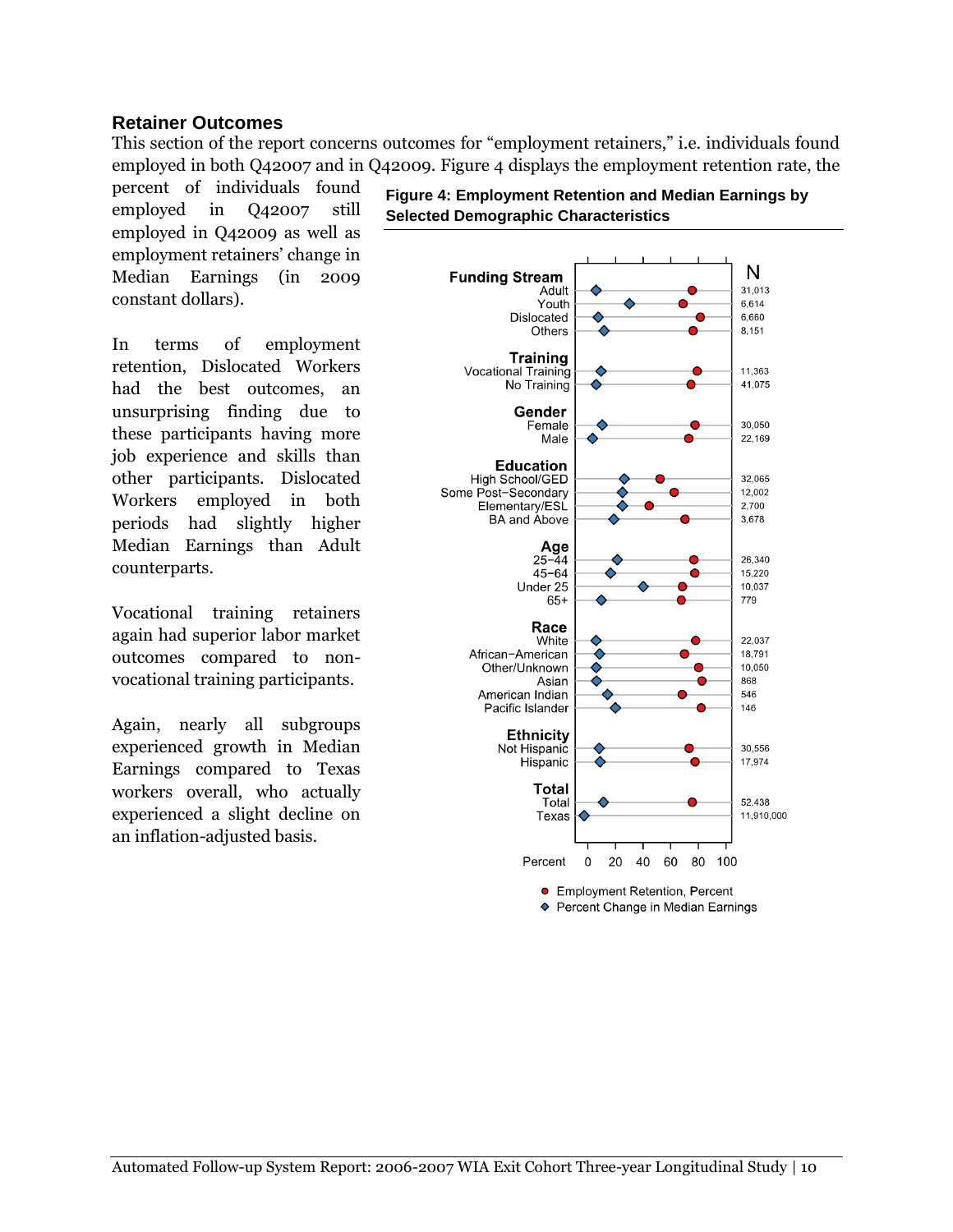#### **Retainer Outcomes**

This section of the report concerns outcomes for "employment retainers," i.e. individuals found employed in both Q42007 and in Q42009. Figure 4 displays the employment retention rate, the

percent of individuals found employed in Q42007 still employed in Q42009 as well as employment retainers' change in Median Earnings (in 2009 constant dollars).

In terms of employment retention, Dislocated Workers had the best outcomes, an unsurprising finding due to these participants having more job experience and skills than other participants. Dislocated Workers employed in both periods had slightly higher Median Earnings than Adult counterparts.

Vocational training retainers again had superior labor market outcomes compared to nonvocational training participants.

Again, nearly all subgroups experienced growth in Median Earnings compared to Texas workers overall, who actually experienced a slight decline on an inflation-adjusted basis.

**Figure 4: Employment Retention and Median Earnings by Selected Demographic Characteristics** 

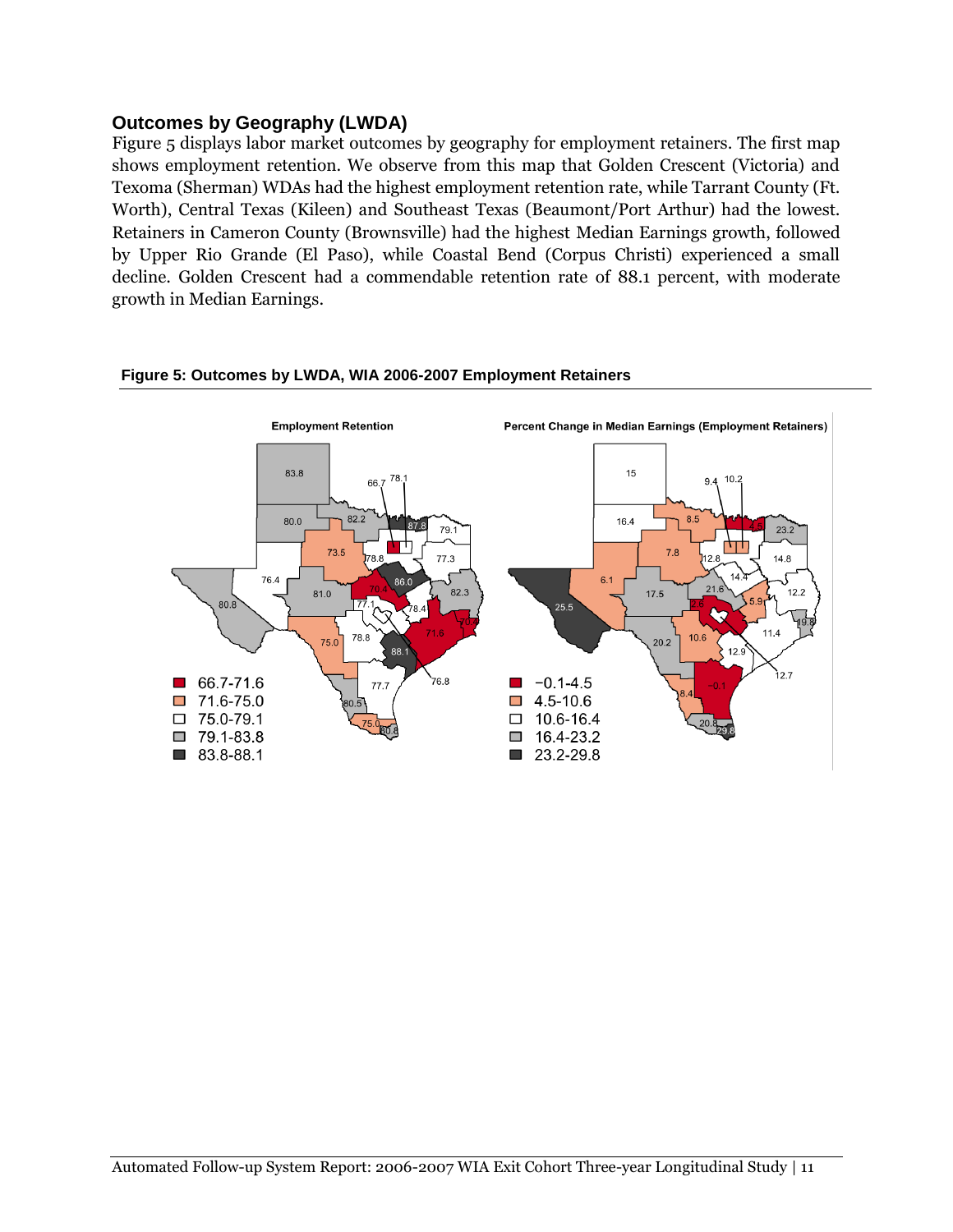#### **Outcomes by Geography (LWDA)**

Figure 5 displays labor market outcomes by geography for employment retainers. The first map shows employment retention. We observe from this map that Golden Crescent (Victoria) and Texoma (Sherman) WDAs had the highest employment retention rate, while Tarrant County (Ft. Worth), Central Texas (Kileen) and Southeast Texas (Beaumont/Port Arthur) had the lowest. Retainers in Cameron County (Brownsville) had the highest Median Earnings growth, followed by Upper Rio Grande (El Paso), while Coastal Bend (Corpus Christi) experienced a small decline. Golden Crescent had a commendable retention rate of 88.1 percent, with moderate growth in Median Earnings.



#### **Figure 5: Outcomes by LWDA, WIA 2006-2007 Employment Retainers**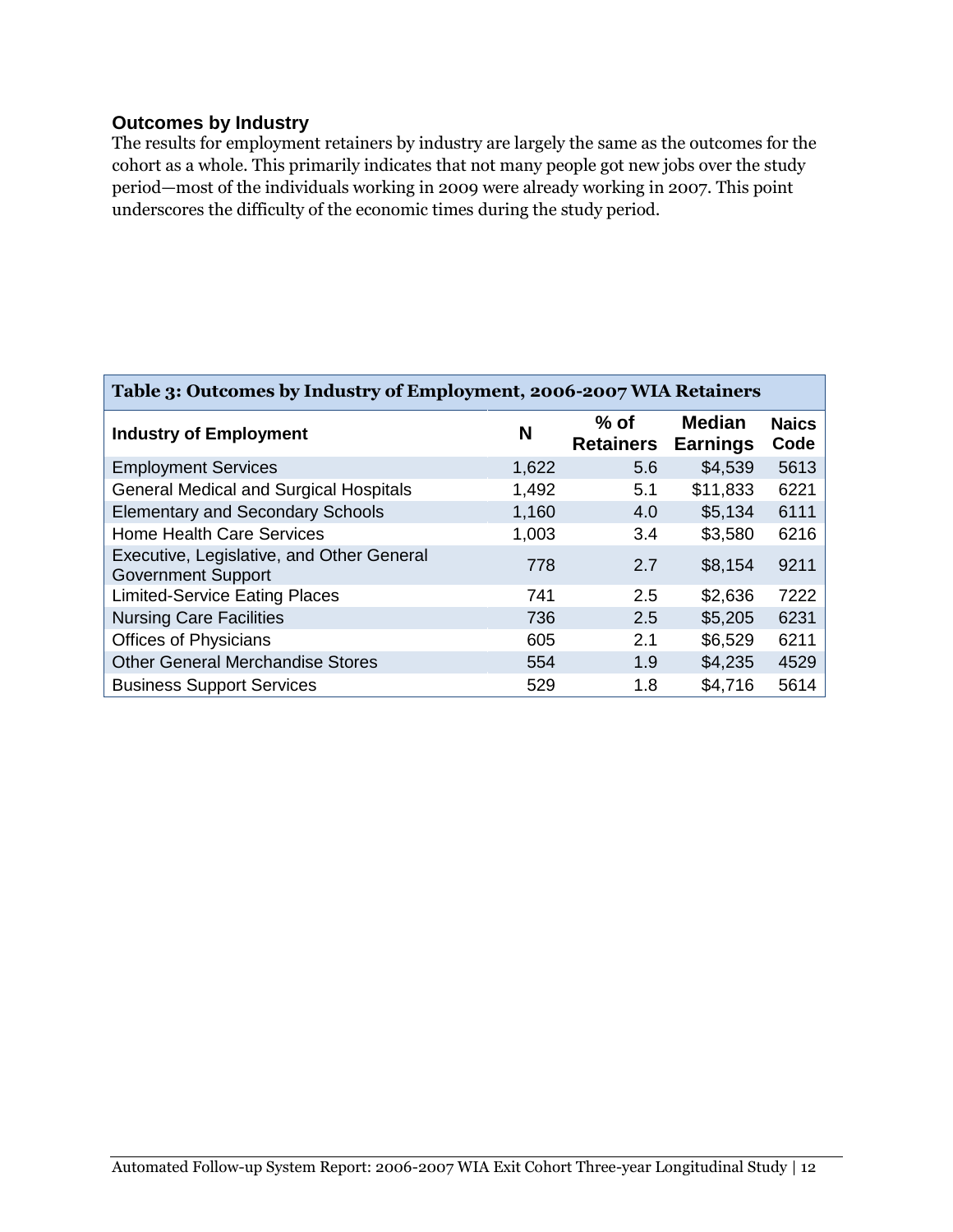#### **Outcomes by Industry**

The results for employment retainers by industry are largely the same as the outcomes for the cohort as a whole. This primarily indicates that not many people got new jobs over the study period—most of the individuals working in 2009 were already working in 2007. This point underscores the difficulty of the economic times during the study period.

| Table 3: Outcomes by Industry of Employment, 2006-2007 WIA Retainers   |       |                            |                                  |                      |  |  |  |
|------------------------------------------------------------------------|-------|----------------------------|----------------------------------|----------------------|--|--|--|
| <b>Industry of Employment</b>                                          | N     | $%$ of<br><b>Retainers</b> | <b>Median</b><br><b>Earnings</b> | <b>Naics</b><br>Code |  |  |  |
| <b>Employment Services</b>                                             | 1,622 | 5.6                        | \$4,539                          | 5613                 |  |  |  |
| <b>General Medical and Surgical Hospitals</b>                          | 1,492 | 5.1                        | \$11,833                         | 6221                 |  |  |  |
| <b>Elementary and Secondary Schools</b>                                | 1,160 | 4.0                        | \$5,134                          | 6111                 |  |  |  |
| <b>Home Health Care Services</b>                                       | 1,003 | 3.4                        | \$3,580                          | 6216                 |  |  |  |
| Executive, Legislative, and Other General<br><b>Government Support</b> | 778   | 2.7                        | \$8,154                          | 9211                 |  |  |  |
| <b>Limited-Service Eating Places</b>                                   | 741   | 2.5                        | \$2,636                          | 7222                 |  |  |  |
| <b>Nursing Care Facilities</b>                                         | 736   | 2.5                        | \$5,205                          | 6231                 |  |  |  |
| <b>Offices of Physicians</b>                                           | 605   | 2.1                        | \$6,529                          | 6211                 |  |  |  |
| <b>Other General Merchandise Stores</b>                                | 554   | 1.9                        | \$4,235                          | 4529                 |  |  |  |
| <b>Business Support Services</b>                                       | 529   | 1.8                        | \$4,716                          | 5614                 |  |  |  |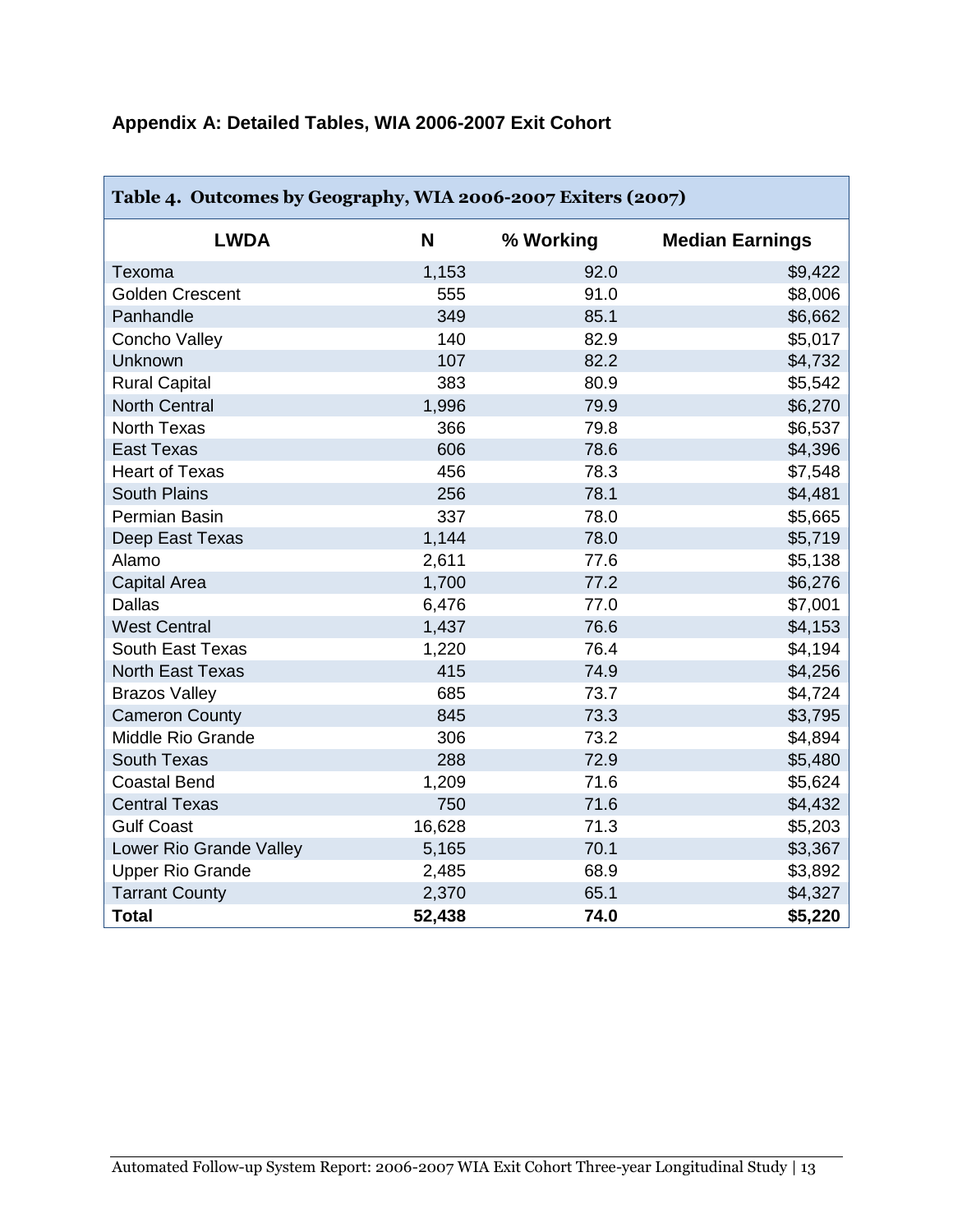## **Appendix A: Detailed Tables, WIA 2006-2007 Exit Cohort**

| Table 4. Outcomes by Geography, WIA 2006-2007 Exiters (2007) |        |           |                        |  |  |
|--------------------------------------------------------------|--------|-----------|------------------------|--|--|
| <b>LWDA</b>                                                  | N      | % Working | <b>Median Earnings</b> |  |  |
| Texoma                                                       | 1,153  | 92.0      | \$9,422                |  |  |
| <b>Golden Crescent</b>                                       | 555    | 91.0      | \$8,006                |  |  |
| Panhandle                                                    | 349    | 85.1      | \$6,662                |  |  |
| Concho Valley                                                | 140    | 82.9      | \$5,017                |  |  |
| Unknown                                                      | 107    | 82.2      | \$4,732                |  |  |
| <b>Rural Capital</b>                                         | 383    | 80.9      | \$5,542                |  |  |
| <b>North Central</b>                                         | 1,996  | 79.9      | \$6,270                |  |  |
| <b>North Texas</b>                                           | 366    | 79.8      | \$6,537                |  |  |
| <b>East Texas</b>                                            | 606    | 78.6      | \$4,396                |  |  |
| <b>Heart of Texas</b>                                        | 456    | 78.3      | \$7,548                |  |  |
| <b>South Plains</b>                                          | 256    | 78.1      | \$4,481                |  |  |
| Permian Basin                                                | 337    | 78.0      | \$5,665                |  |  |
| Deep East Texas                                              | 1,144  | 78.0      | \$5,719                |  |  |
| Alamo                                                        | 2,611  | 77.6      | \$5,138                |  |  |
| <b>Capital Area</b>                                          | 1,700  | 77.2      | \$6,276                |  |  |
| <b>Dallas</b>                                                | 6,476  | 77.0      | \$7,001                |  |  |
| <b>West Central</b>                                          | 1,437  | 76.6      | \$4,153                |  |  |
| <b>South East Texas</b>                                      | 1,220  | 76.4      | \$4,194                |  |  |
| <b>North East Texas</b>                                      | 415    | 74.9      | \$4,256                |  |  |
| <b>Brazos Valley</b>                                         | 685    | 73.7      | \$4,724                |  |  |
| <b>Cameron County</b>                                        | 845    | 73.3      | \$3,795                |  |  |
| Middle Rio Grande                                            | 306    | 73.2      | \$4,894                |  |  |
| <b>South Texas</b>                                           | 288    | 72.9      | \$5,480                |  |  |
| <b>Coastal Bend</b>                                          | 1,209  | 71.6      | \$5,624                |  |  |
| <b>Central Texas</b>                                         | 750    | 71.6      | \$4,432                |  |  |
| <b>Gulf Coast</b>                                            | 16,628 | 71.3      | \$5,203                |  |  |
| Lower Rio Grande Valley                                      | 5,165  | 70.1      | \$3,367                |  |  |
| <b>Upper Rio Grande</b>                                      | 2,485  | 68.9      | \$3,892                |  |  |
| <b>Tarrant County</b>                                        | 2,370  | 65.1      | \$4,327                |  |  |
| <b>Total</b>                                                 | 52,438 | 74.0      | \$5,220                |  |  |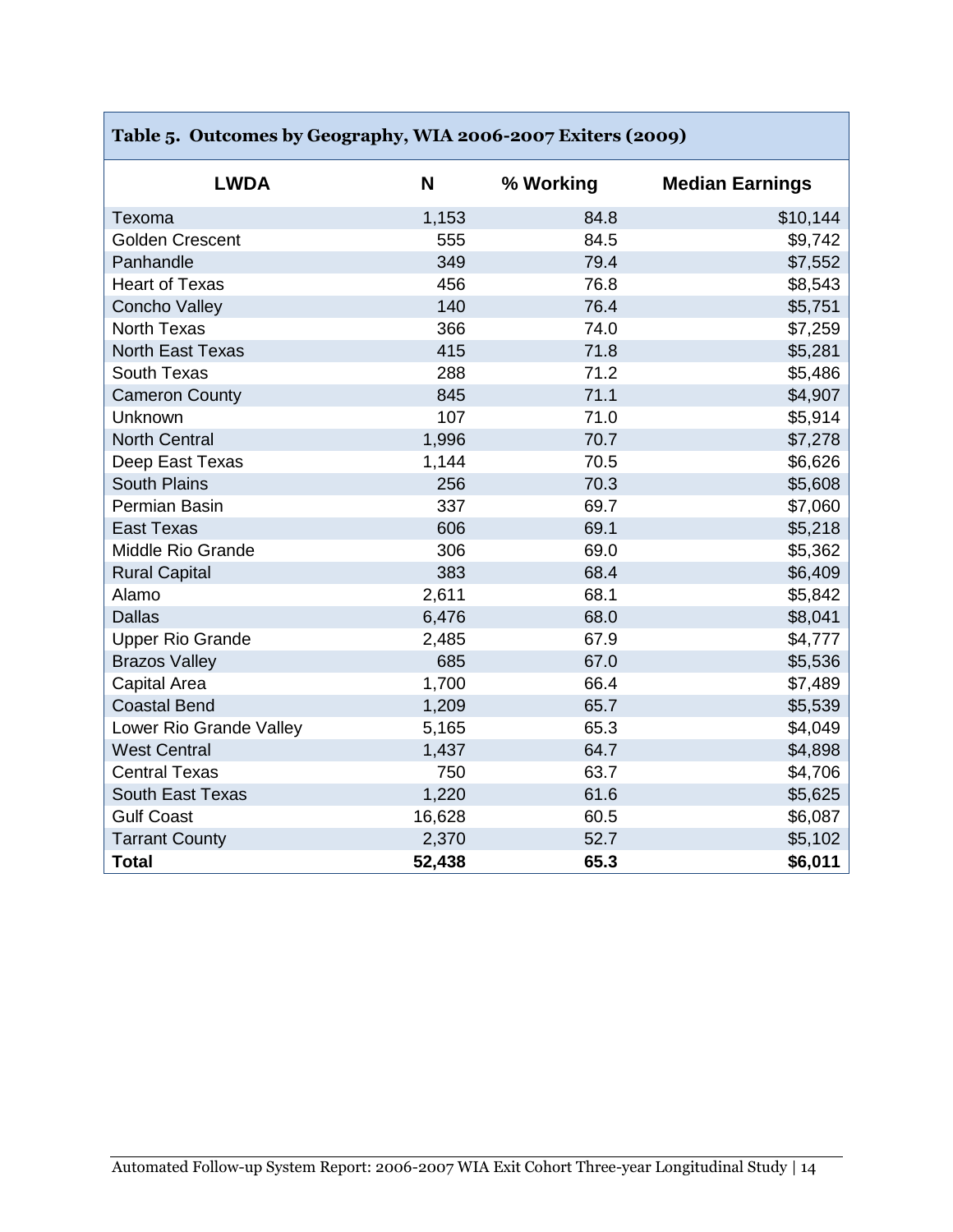| Table 5. Outcomes by Geography, WIA 2006-2007 Exiters (2009) |        |           |                        |  |  |  |
|--------------------------------------------------------------|--------|-----------|------------------------|--|--|--|
| <b>LWDA</b>                                                  | N      | % Working | <b>Median Earnings</b> |  |  |  |
| Texoma                                                       | 1,153  | 84.8      | \$10,144               |  |  |  |
| <b>Golden Crescent</b>                                       | 555    | 84.5      | \$9,742                |  |  |  |
| Panhandle                                                    | 349    | 79.4      | \$7,552                |  |  |  |
| <b>Heart of Texas</b>                                        | 456    | 76.8      | \$8,543                |  |  |  |
| <b>Concho Valley</b>                                         | 140    | 76.4      | \$5,751                |  |  |  |
| <b>North Texas</b>                                           | 366    | 74.0      | \$7,259                |  |  |  |
| <b>North East Texas</b>                                      | 415    | 71.8      | \$5,281                |  |  |  |
| <b>South Texas</b>                                           | 288    | 71.2      | \$5,486                |  |  |  |
| <b>Cameron County</b>                                        | 845    | 71.1      | \$4,907                |  |  |  |
| Unknown                                                      | 107    | 71.0      | \$5,914                |  |  |  |
| <b>North Central</b>                                         | 1,996  | 70.7      | \$7,278                |  |  |  |
| Deep East Texas                                              | 1,144  | 70.5      | \$6,626                |  |  |  |
| <b>South Plains</b>                                          | 256    | 70.3      | \$5,608                |  |  |  |
| Permian Basin                                                | 337    | 69.7      | \$7,060                |  |  |  |
| <b>East Texas</b>                                            | 606    | 69.1      | \$5,218                |  |  |  |
| Middle Rio Grande                                            | 306    | 69.0      | \$5,362                |  |  |  |
| <b>Rural Capital</b>                                         | 383    | 68.4      | \$6,409                |  |  |  |
| Alamo                                                        | 2,611  | 68.1      | \$5,842                |  |  |  |
| <b>Dallas</b>                                                | 6,476  | 68.0      | \$8,041                |  |  |  |
| <b>Upper Rio Grande</b>                                      | 2,485  | 67.9      | \$4,777                |  |  |  |
| <b>Brazos Valley</b>                                         | 685    | 67.0      | \$5,536                |  |  |  |
| <b>Capital Area</b>                                          | 1,700  | 66.4      | \$7,489                |  |  |  |
| <b>Coastal Bend</b>                                          | 1,209  | 65.7      | \$5,539                |  |  |  |
| Lower Rio Grande Valley                                      | 5,165  | 65.3      | \$4,049                |  |  |  |
| <b>West Central</b>                                          | 1,437  | 64.7      | \$4,898                |  |  |  |
| <b>Central Texas</b>                                         | 750    | 63.7      | \$4,706                |  |  |  |
| <b>South East Texas</b>                                      | 1,220  | 61.6      | \$5,625                |  |  |  |
| <b>Gulf Coast</b>                                            | 16,628 | 60.5      | \$6,087                |  |  |  |
| <b>Tarrant County</b>                                        | 2,370  | 52.7      | \$5,102                |  |  |  |
| <b>Total</b>                                                 | 52,438 | 65.3      | \$6,011                |  |  |  |

T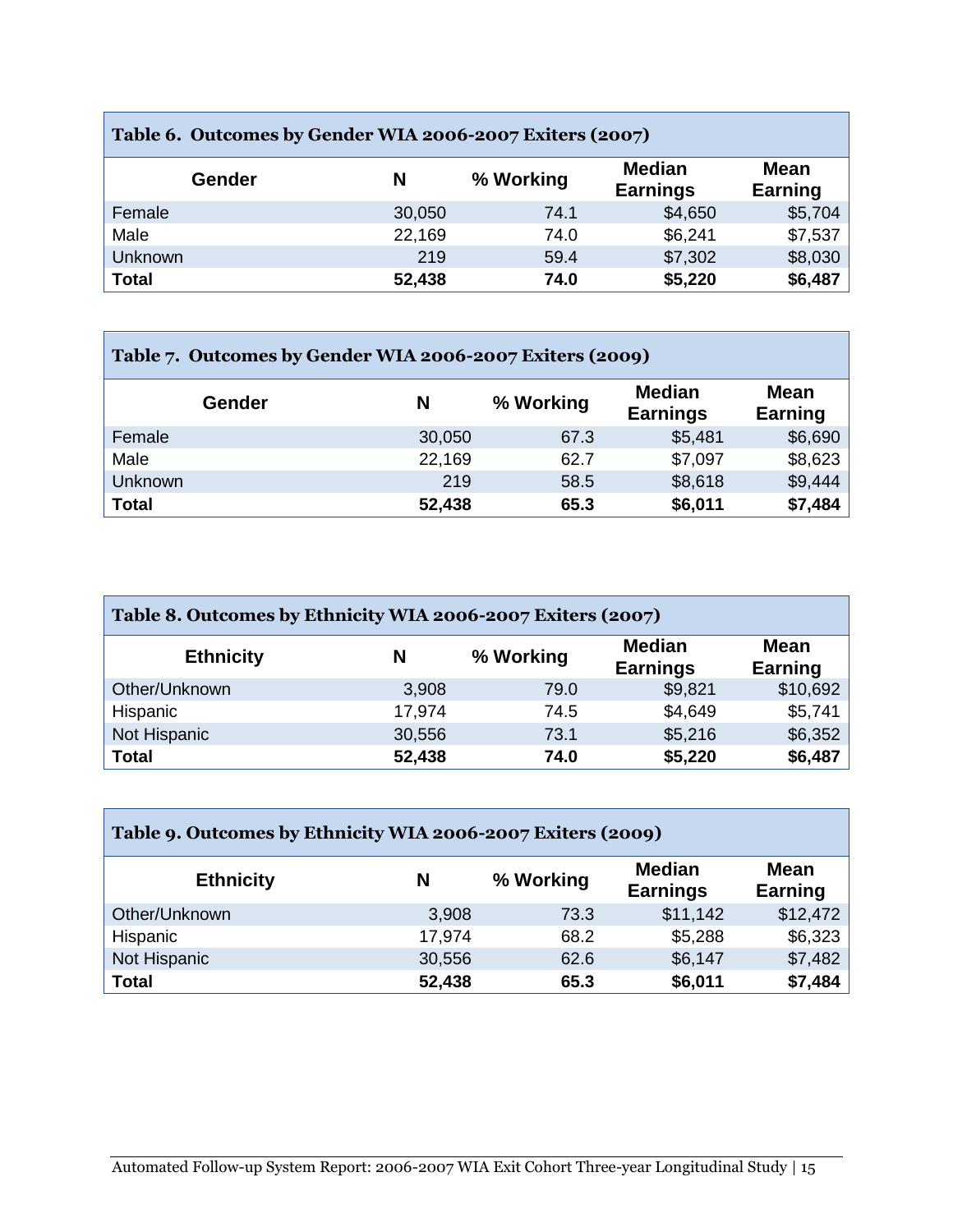| Table 6. Outcomes by Gender WIA 2006-2007 Exiters (2007) |        |           |                                  |                        |  |
|----------------------------------------------------------|--------|-----------|----------------------------------|------------------------|--|
| Gender                                                   | Ν      | % Working | <b>Median</b><br><b>Earnings</b> | <b>Mean</b><br>Earning |  |
| Female                                                   | 30,050 | 74.1      | \$4,650                          | \$5,704                |  |
| Male                                                     | 22,169 | 74.0      | \$6,241                          | \$7,537                |  |
| Unknown                                                  | 219    | 59.4      | \$7,302                          | \$8,030                |  |
| <b>Total</b>                                             | 52,438 | 74.0      | \$5,220                          | \$6,487                |  |

| Table 7. Outcomes by Gender WIA 2006-2007 Exiters (2009) |        |           |                                  |                 |  |
|----------------------------------------------------------|--------|-----------|----------------------------------|-----------------|--|
| Gender                                                   | N      | % Working | <b>Median</b><br><b>Earnings</b> | Mean<br>Earning |  |
| Female                                                   | 30,050 | 67.3      | \$5,481                          | \$6,690         |  |
| Male                                                     | 22,169 | 62.7      | \$7,097                          | \$8,623         |  |
| Unknown                                                  | 219    | 58.5      | \$8,618                          | \$9,444         |  |
| <b>Total</b>                                             | 52,438 | 65.3      | \$6,011                          | \$7,484         |  |

| Table 8. Outcomes by Ethnicity WIA 2006-2007 Exiters (2007) |        |           |                                  |                        |  |
|-------------------------------------------------------------|--------|-----------|----------------------------------|------------------------|--|
| <b>Ethnicity</b>                                            | N      | % Working | <b>Median</b><br><b>Earnings</b> | <b>Mean</b><br>Earning |  |
| Other/Unknown                                               | 3,908  | 79.0      | \$9,821                          | \$10,692               |  |
| Hispanic                                                    | 17,974 | 74.5      | \$4,649                          | \$5,741                |  |
| Not Hispanic                                                | 30,556 | 73.1      | \$5,216                          | \$6,352                |  |
| <b>Total</b>                                                | 52,438 | 74.0      | \$5,220                          | \$6,487                |  |

| Table 9. Outcomes by Ethnicity WIA 2006-2007 Exiters (2009) |        |           |                                  |                        |  |
|-------------------------------------------------------------|--------|-----------|----------------------------------|------------------------|--|
| <b>Ethnicity</b>                                            | N      | % Working | <b>Median</b><br><b>Earnings</b> | <b>Mean</b><br>Earning |  |
| Other/Unknown                                               | 3,908  | 73.3      | \$11,142                         | \$12,472               |  |
| Hispanic                                                    | 17,974 | 68.2      | \$5,288                          | \$6,323                |  |
| Not Hispanic                                                | 30,556 | 62.6      | \$6,147                          | \$7,482                |  |
| <b>Total</b>                                                | 52,438 | 65.3      | \$6,011                          | \$7,484                |  |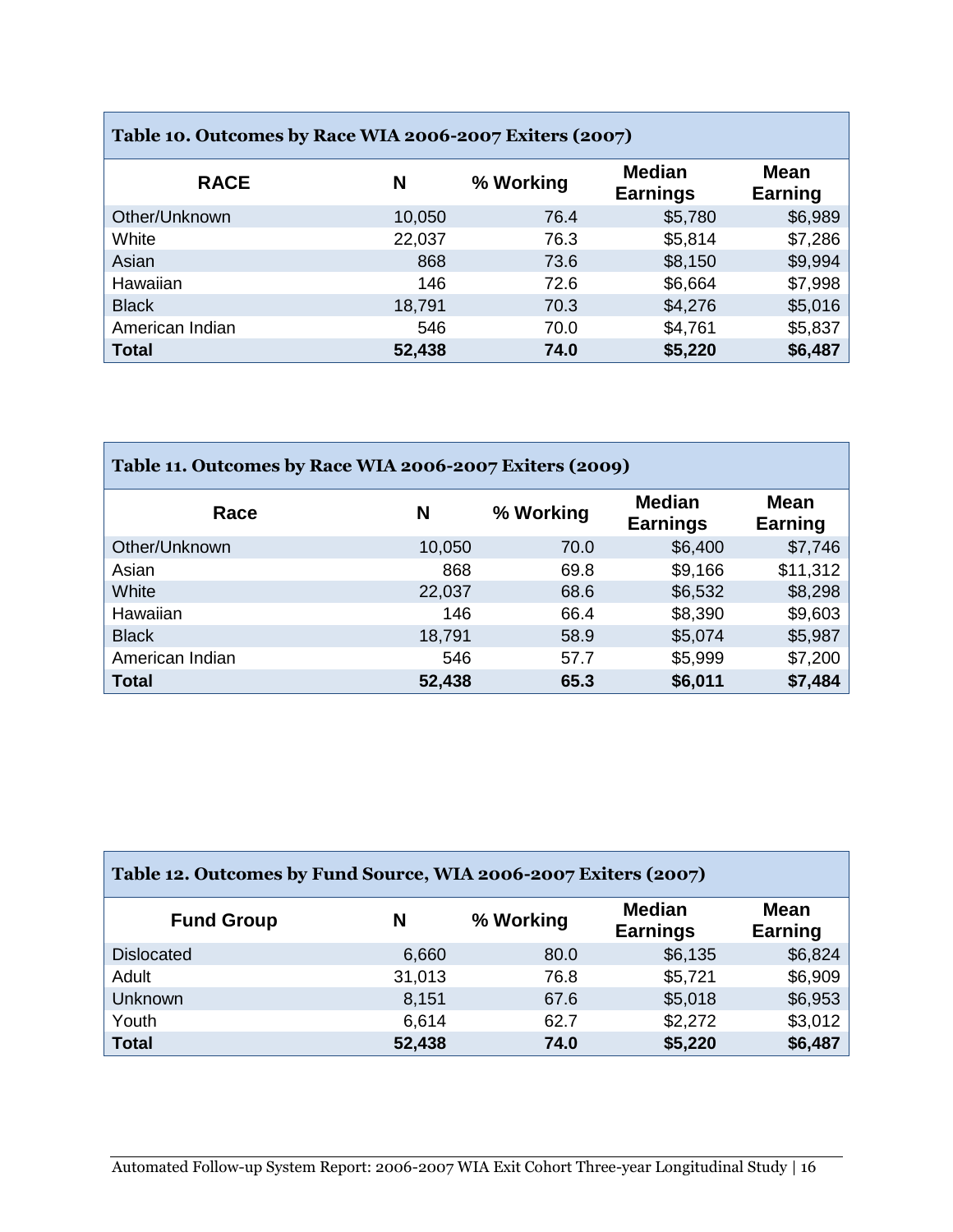| Table 10. Outcomes by Race WIA 2006-2007 Exiters (2007) |        |           |                                  |                        |  |
|---------------------------------------------------------|--------|-----------|----------------------------------|------------------------|--|
| <b>RACE</b>                                             | N      | % Working | <b>Median</b><br><b>Earnings</b> | <b>Mean</b><br>Earning |  |
| Other/Unknown                                           | 10,050 | 76.4      | \$5,780                          | \$6,989                |  |
| White                                                   | 22,037 | 76.3      | \$5,814                          | \$7,286                |  |
| Asian                                                   | 868    | 73.6      | \$8,150                          | \$9,994                |  |
| Hawaiian                                                | 146    | 72.6      | \$6,664                          | \$7,998                |  |
| <b>Black</b>                                            | 18,791 | 70.3      | \$4,276                          | \$5,016                |  |
| American Indian                                         | 546    | 70.0      | \$4,761                          | \$5,837                |  |
| <b>Total</b>                                            | 52,438 | 74.0      | \$5,220                          | \$6,487                |  |

| Table 11. Outcomes by Race WIA 2006-2007 Exiters (2009) |        |           |                                  |                        |
|---------------------------------------------------------|--------|-----------|----------------------------------|------------------------|
| Race                                                    | N      | % Working | <b>Median</b><br><b>Earnings</b> | <b>Mean</b><br>Earning |
| Other/Unknown                                           | 10,050 | 70.0      | \$6,400                          | \$7,746                |
| Asian                                                   | 868    | 69.8      | \$9,166                          | \$11,312               |
| White                                                   | 22,037 | 68.6      | \$6,532                          | \$8,298                |
| Hawaiian                                                | 146    | 66.4      | \$8,390                          | \$9,603                |
| <b>Black</b>                                            | 18,791 | 58.9      | \$5,074                          | \$5,987                |
| American Indian                                         | 546    | 57.7      | \$5,999                          | \$7,200                |
| <b>Total</b>                                            | 52,438 | 65.3      | \$6,011                          | \$7,484                |

| Table 12. Outcomes by Fund Source, WIA 2006-2007 Exiters (2007) |        |           |                                  |                        |  |
|-----------------------------------------------------------------|--------|-----------|----------------------------------|------------------------|--|
| <b>Fund Group</b>                                               | N      | % Working | <b>Median</b><br><b>Earnings</b> | <b>Mean</b><br>Earning |  |
| <b>Dislocated</b>                                               | 6,660  | 80.0      | \$6,135                          | \$6,824                |  |
| Adult                                                           | 31,013 | 76.8      | \$5,721                          | \$6,909                |  |
| Unknown                                                         | 8,151  | 67.6      | \$5,018                          | \$6,953                |  |
| Youth                                                           | 6,614  | 62.7      | \$2,272                          | \$3,012                |  |
| <b>Total</b>                                                    | 52,438 | 74.0      | \$5,220                          | \$6,487                |  |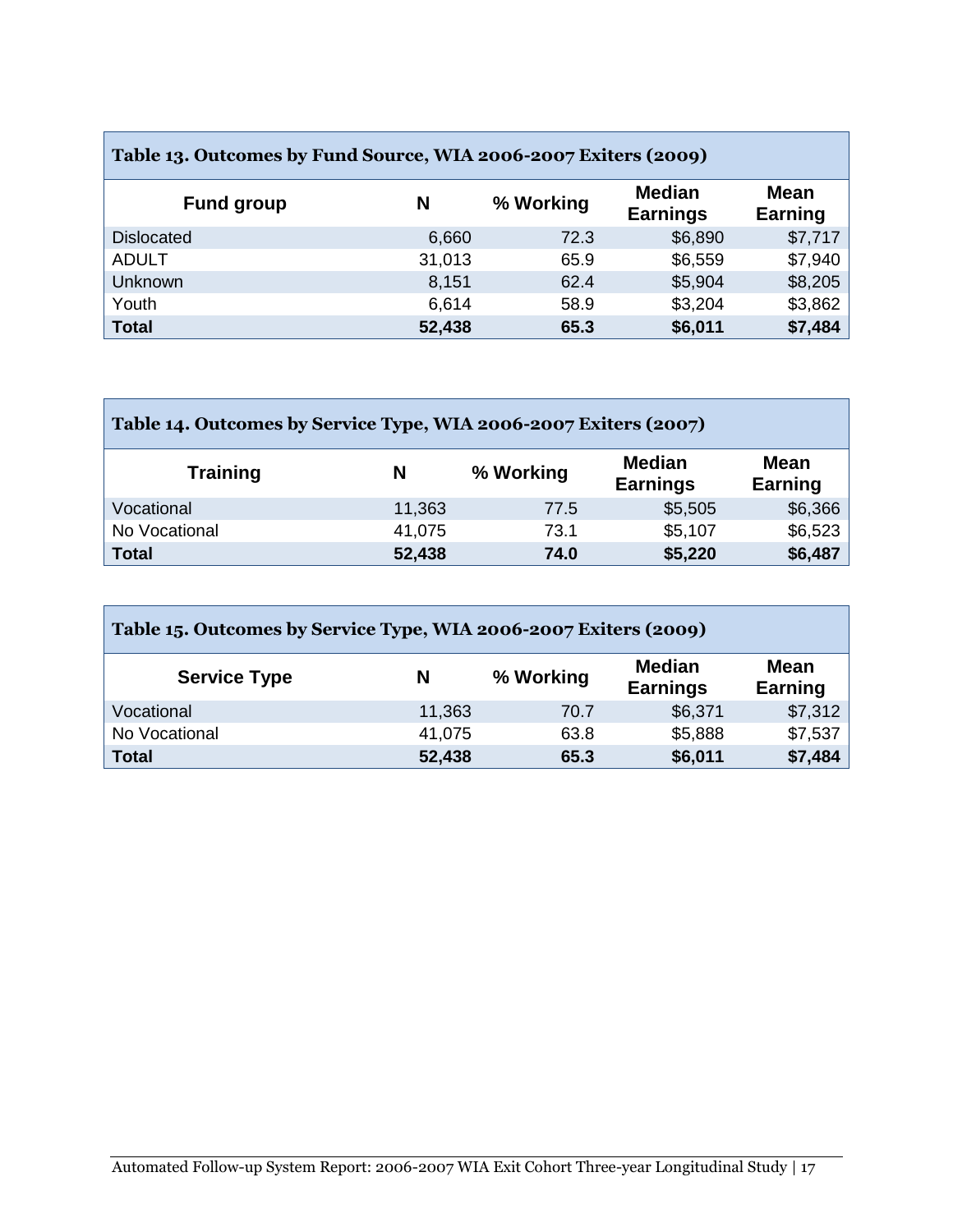| Table 13. Outcomes by Fund Source, WIA 2006-2007 Exiters (2009) |        |           |                                  |                        |  |  |  |  |  |  |
|-----------------------------------------------------------------|--------|-----------|----------------------------------|------------------------|--|--|--|--|--|--|
| <b>Fund group</b>                                               | N      | % Working | <b>Median</b><br><b>Earnings</b> | <b>Mean</b><br>Earning |  |  |  |  |  |  |
| <b>Dislocated</b>                                               | 6,660  | 72.3      | \$6,890                          | \$7,717                |  |  |  |  |  |  |
| <b>ADULT</b>                                                    | 31,013 | 65.9      | \$6,559                          | \$7,940                |  |  |  |  |  |  |
| <b>Unknown</b>                                                  | 8,151  | 62.4      | \$5,904                          | \$8,205                |  |  |  |  |  |  |
| Youth                                                           | 6,614  | 58.9      | \$3,204                          | \$3,862                |  |  |  |  |  |  |
| <b>Total</b>                                                    | 52,438 | 65.3      | \$6,011                          | \$7,484                |  |  |  |  |  |  |

| Table 14. Outcomes by Service Type, WIA 2006-2007 Exiters (2007) |        |           |                                  |                        |  |  |  |  |  |
|------------------------------------------------------------------|--------|-----------|----------------------------------|------------------------|--|--|--|--|--|
| <b>Training</b>                                                  | N      | % Working | <b>Median</b><br><b>Earnings</b> | <b>Mean</b><br>Earning |  |  |  |  |  |
| Vocational                                                       | 11,363 | 77.5      | \$5,505                          | \$6,366                |  |  |  |  |  |
| No Vocational                                                    | 41,075 | 73.1      | \$5,107                          | \$6,523                |  |  |  |  |  |
| <b>Total</b>                                                     | 52,438 | 74.0      | \$5,220                          | \$6,487                |  |  |  |  |  |

| Table 15. Outcomes by Service Type, WIA 2006-2007 Exiters (2009) |        |           |                                  |                               |  |  |  |  |  |  |
|------------------------------------------------------------------|--------|-----------|----------------------------------|-------------------------------|--|--|--|--|--|--|
| <b>Service Type</b>                                              | N      | % Working | <b>Median</b><br><b>Earnings</b> | <b>Mean</b><br><b>Earning</b> |  |  |  |  |  |  |
| Vocational                                                       | 11,363 | 70.7      | \$6,371                          | \$7,312                       |  |  |  |  |  |  |
| No Vocational                                                    | 41,075 | 63.8      | \$5,888                          | \$7,537                       |  |  |  |  |  |  |
| <b>Total</b>                                                     | 52,438 | 65.3      | \$6,011                          | \$7,484                       |  |  |  |  |  |  |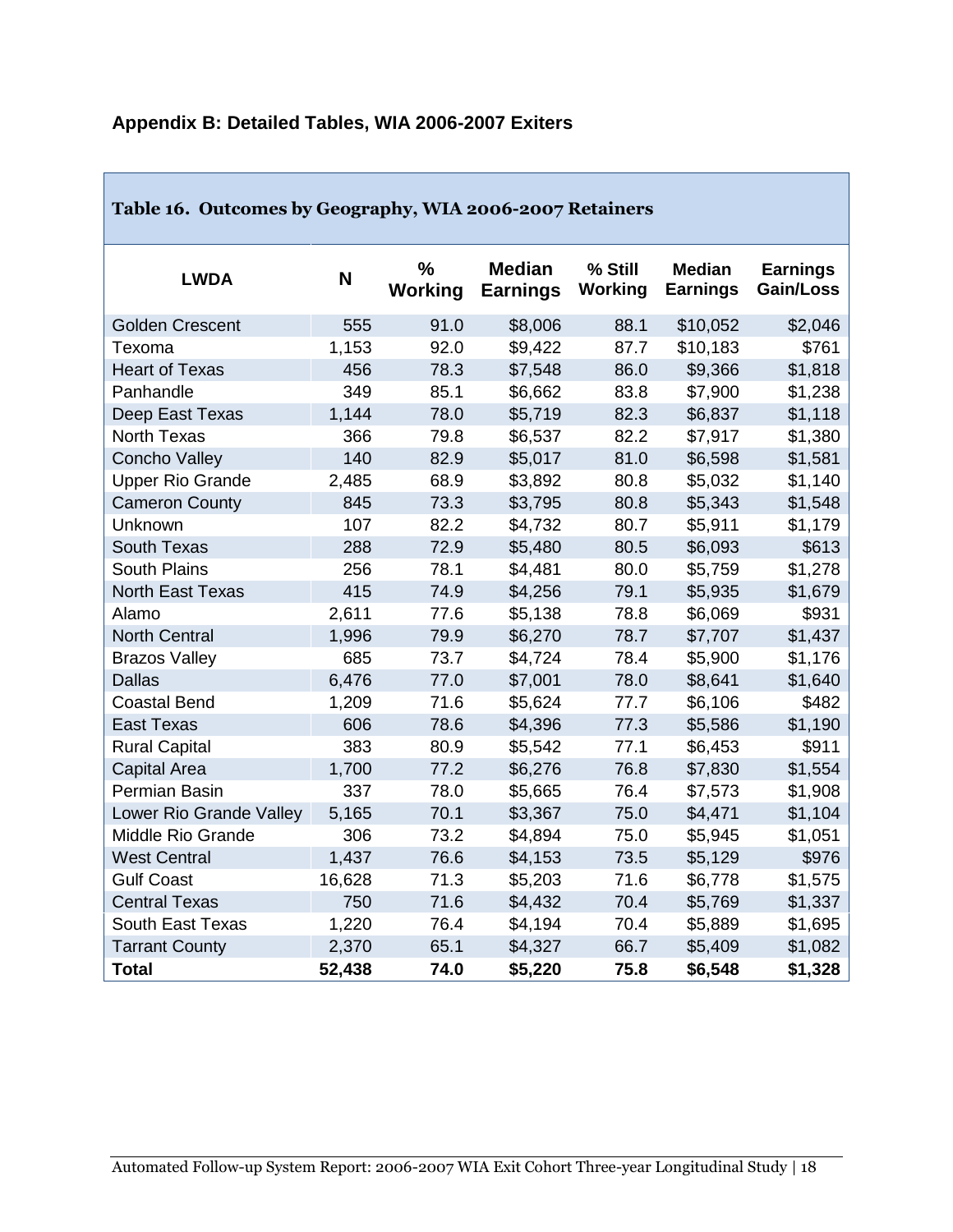| Table 16. Outcomes by Geography, WIA 2006-2007 Retainers |        |                          |                                  |                    |                                  |                              |
|----------------------------------------------------------|--------|--------------------------|----------------------------------|--------------------|----------------------------------|------------------------------|
| <b>LWDA</b>                                              | N      | $\frac{0}{0}$<br>Working | <b>Median</b><br><b>Earnings</b> | % Still<br>Working | <b>Median</b><br><b>Earnings</b> | <b>Earnings</b><br>Gain/Loss |
| <b>Golden Crescent</b>                                   | 555    | 91.0                     | \$8,006                          | 88.1               | \$10,052                         | \$2,046                      |
| Texoma                                                   | 1,153  | 92.0                     | \$9,422                          | 87.7               | \$10,183                         | \$761                        |
| <b>Heart of Texas</b>                                    | 456    | 78.3                     | \$7,548                          | 86.0               | \$9,366                          | \$1,818                      |
| Panhandle                                                | 349    | 85.1                     | \$6,662                          | 83.8               | \$7,900                          | \$1,238                      |
| Deep East Texas                                          | 1,144  | 78.0                     | \$5,719                          | 82.3               | \$6,837                          | \$1,118                      |
| <b>North Texas</b>                                       | 366    | 79.8                     | \$6,537                          | 82.2               | \$7,917                          | \$1,380                      |
| <b>Concho Valley</b>                                     | 140    | 82.9                     | \$5,017                          | 81.0               | \$6,598                          | \$1,581                      |
| <b>Upper Rio Grande</b>                                  | 2,485  | 68.9                     | \$3,892                          | 80.8               | \$5,032                          | \$1,140                      |
| <b>Cameron County</b>                                    | 845    | 73.3                     | \$3,795                          | 80.8               | \$5,343                          | \$1,548                      |
| Unknown                                                  | 107    | 82.2                     | \$4,732                          | 80.7               | \$5,911                          | \$1,179                      |
| <b>South Texas</b>                                       | 288    | 72.9                     | \$5,480                          | 80.5               | \$6,093                          | \$613                        |
| <b>South Plains</b>                                      | 256    | 78.1                     | \$4,481                          | 80.0               | \$5,759                          | \$1,278                      |
| <b>North East Texas</b>                                  | 415    | 74.9                     | \$4,256                          | 79.1               | \$5,935                          | \$1,679                      |
| Alamo                                                    | 2,611  | 77.6                     | \$5,138                          | 78.8               | \$6,069                          | \$931                        |
| <b>North Central</b>                                     | 1,996  | 79.9                     | \$6,270                          | 78.7               | \$7,707                          | \$1,437                      |
| <b>Brazos Valley</b>                                     | 685    | 73.7                     | \$4,724                          | 78.4               | \$5,900                          | \$1,176                      |
| <b>Dallas</b>                                            | 6,476  | 77.0                     | \$7,001                          | 78.0               | \$8,641                          | \$1,640                      |
| <b>Coastal Bend</b>                                      | 1,209  | 71.6                     | \$5,624                          | 77.7               | \$6,106                          | \$482                        |
| <b>East Texas</b>                                        | 606    | 78.6                     | \$4,396                          | 77.3               | \$5,586                          | \$1,190                      |
| <b>Rural Capital</b>                                     | 383    | 80.9                     | \$5,542                          | 77.1               | \$6,453                          | \$911                        |
| <b>Capital Area</b>                                      | 1,700  | 77.2                     | \$6,276                          | 76.8               | \$7,830                          | \$1,554                      |
| Permian Basin                                            | 337    | 78.0                     | \$5,665                          | 76.4               | \$7,573                          | \$1,908                      |
| Lower Rio Grande Valley                                  | 5,165  | 70.1                     | \$3,367                          | 75.0               | \$4,471                          | \$1,104                      |
| Middle Rio Grande                                        | 306    | 73.2                     | \$4,894                          | 75.0               | \$5,945                          | \$1,051                      |
| <b>West Central</b>                                      | 1,437  | 76.6                     | \$4,153                          | 73.5               | \$5,129                          | \$976                        |
| <b>Gulf Coast</b>                                        | 16,628 | 71.3                     | \$5,203                          | 71.6               | \$6,778                          | \$1,575                      |
| <b>Central Texas</b>                                     | 750    | 71.6                     | \$4,432                          | 70.4               | \$5,769                          | \$1,337                      |
| South East Texas                                         | 1,220  | 76.4                     | \$4,194                          | 70.4               | \$5,889                          | \$1,695                      |
| <b>Tarrant County</b>                                    | 2,370  | 65.1                     | \$4,327                          | 66.7               | \$5,409                          | \$1,082                      |
| <b>Total</b>                                             | 52,438 | 74.0                     | \$5,220                          | 75.8               | \$6,548                          | \$1,328                      |

## **Appendix B: Detailed Tables, WIA 2006-2007 Exiters**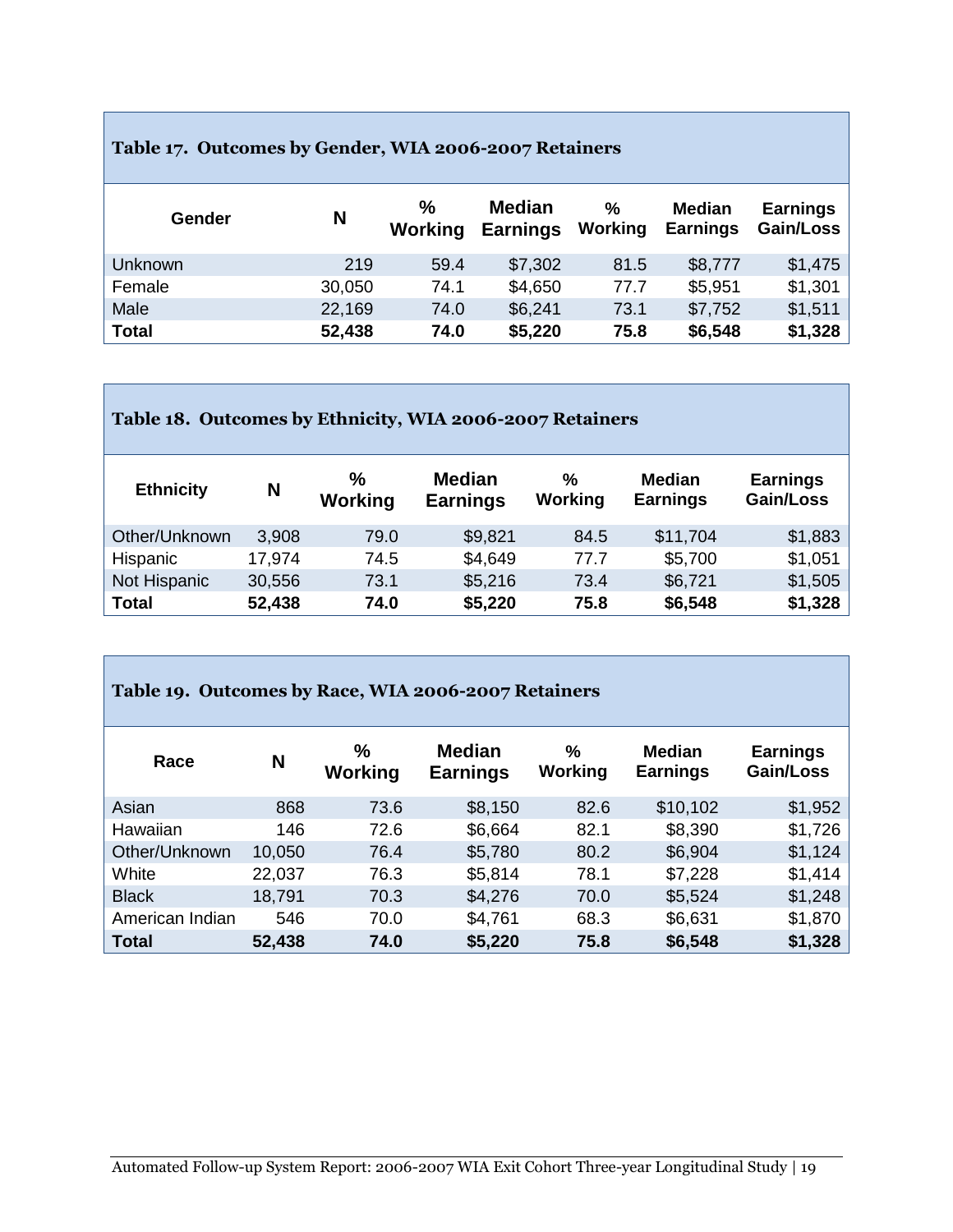## **Table 17. Outcomes by Gender, WIA 2006-2007 Retainers**

п

| Gender         | N      | $\%$<br>Working | <b>Median</b><br><b>Earnings</b> | %<br>Working | Median<br><b>Earnings</b> | <b>Earnings</b><br>Gain/Loss |
|----------------|--------|-----------------|----------------------------------|--------------|---------------------------|------------------------------|
| <b>Unknown</b> | 219    | 59.4            | \$7,302                          | 81.5         | \$8,777                   | \$1,475                      |
| Female         | 30,050 | 74.1            | \$4,650                          | 77.7         | \$5,951                   | \$1,301                      |
| Male           | 22,169 | 74.0            | \$6,241                          | 73.1         | \$7,752                   | \$1,511                      |
| <b>Total</b>   | 52,438 | 74.0            | \$5,220                          | 75.8         | \$6,548                   | \$1,328                      |

| Table 18. Outcomes by Ethnicity, WIA 2006-2007 Retainers |        |              |                           |              |                           |                              |  |  |  |  |
|----------------------------------------------------------|--------|--------------|---------------------------|--------------|---------------------------|------------------------------|--|--|--|--|
| <b>Ethnicity</b>                                         | N      | ℅<br>Working | Median<br><b>Earnings</b> | %<br>Working | Median<br><b>Earnings</b> | <b>Earnings</b><br>Gain/Loss |  |  |  |  |
| Other/Unknown                                            | 3,908  | 79.0         | \$9,821                   | 84.5         | \$11,704                  | \$1,883                      |  |  |  |  |
| Hispanic                                                 | 17,974 | 74.5         | \$4,649                   | 77.7         | \$5,700                   | \$1,051                      |  |  |  |  |
| Not Hispanic                                             | 30,556 | 73.1         | \$5,216                   | 73.4         | \$6,721                   | \$1,505                      |  |  |  |  |
| <b>Total</b>                                             | 52,438 | 74.0         | \$5,220                   | 75.8         | \$6,548                   | \$1,328                      |  |  |  |  |

٦

| Table 19. Outcomes by Race, WIA 2006-2007 Retainers |        |              |                                  |              |                                  |                              |
|-----------------------------------------------------|--------|--------------|----------------------------------|--------------|----------------------------------|------------------------------|
| Race                                                | N      | %<br>Working | <b>Median</b><br><b>Earnings</b> | ℅<br>Working | <b>Median</b><br><b>Earnings</b> | <b>Earnings</b><br>Gain/Loss |
| Asian                                               | 868    | 73.6         | \$8,150                          | 82.6         | \$10,102                         | \$1,952                      |
| Hawaiian                                            | 146    | 72.6         | \$6,664                          | 82.1         | \$8,390                          | \$1,726                      |
| Other/Unknown                                       | 10,050 | 76.4         | \$5,780                          | 80.2         | \$6,904                          | \$1,124                      |
| White                                               | 22,037 | 76.3         | \$5,814                          | 78.1         | \$7,228                          | \$1,414                      |
| <b>Black</b>                                        | 18,791 | 70.3         | \$4,276                          | 70.0         | \$5,524                          | \$1,248                      |
| American Indian                                     | 546    | 70.0         | \$4,761                          | 68.3         | \$6,631                          | \$1,870                      |
| <b>Total</b>                                        | 52,438 | 74.0         | \$5,220                          | 75.8         | \$6,548                          | \$1,328                      |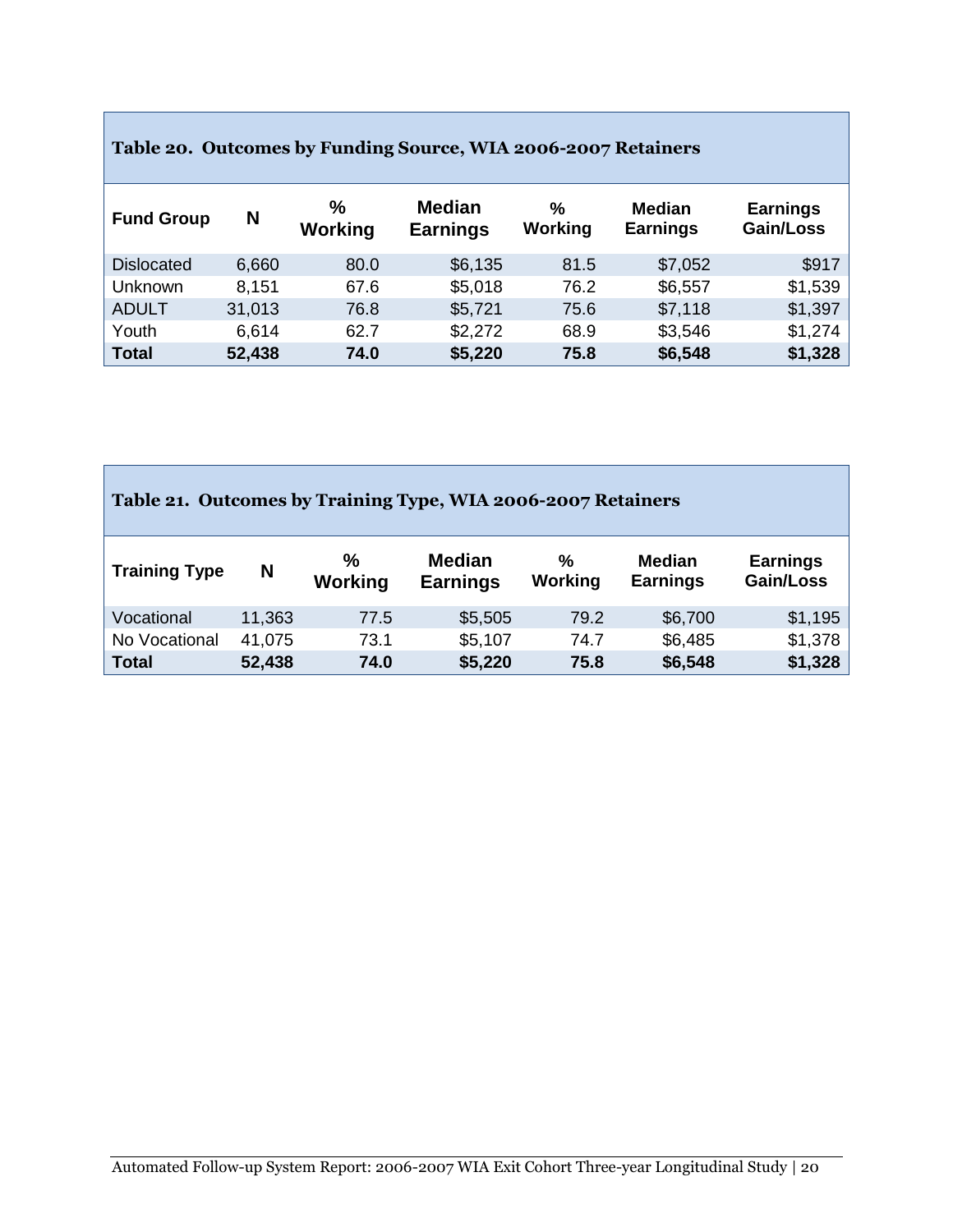| Table 20. Outcomes by Funding Source, WIA 2006-2007 Retainers |        |                          |                                  |                 |                                  |                              |  |  |  |  |
|---------------------------------------------------------------|--------|--------------------------|----------------------------------|-----------------|----------------------------------|------------------------------|--|--|--|--|
| <b>Fund Group</b>                                             | N      | $\frac{0}{0}$<br>Working | <b>Median</b><br><b>Earnings</b> | $\%$<br>Working | <b>Median</b><br><b>Earnings</b> | <b>Earnings</b><br>Gain/Loss |  |  |  |  |
| <b>Dislocated</b>                                             | 6,660  | 80.0                     | \$6,135                          | 81.5            | \$7,052                          | \$917                        |  |  |  |  |
| Unknown                                                       | 8.151  | 67.6                     | \$5,018                          | 76.2            | \$6,557                          | \$1,539                      |  |  |  |  |
| <b>ADULT</b>                                                  | 31,013 | 76.8                     | \$5,721                          | 75.6            | \$7,118                          | \$1,397                      |  |  |  |  |
| Youth                                                         | 6,614  | 62.7                     | \$2,272                          | 68.9            | \$3,546                          | \$1,274                      |  |  |  |  |
| <b>Total</b>                                                  | 52,438 | 74.0                     | \$5,220                          | 75.8            | \$6,548                          | \$1,328                      |  |  |  |  |

٦

Г

| Table 21. Outcomes by Training Type, WIA 2006-2007 Retainers |                                                         |                          |                                  |              |                                  |                              |  |  |  |
|--------------------------------------------------------------|---------------------------------------------------------|--------------------------|----------------------------------|--------------|----------------------------------|------------------------------|--|--|--|
| <b>Training Type</b>                                         | N                                                       | $\frac{0}{0}$<br>Working | <b>Median</b><br><b>Earnings</b> | %<br>Working | <b>Median</b><br><b>Earnings</b> | <b>Earnings</b><br>Gain/Loss |  |  |  |
| Vocational                                                   | 11,363                                                  | 77.5                     | \$5,505                          | 79.2         | \$6,700                          | \$1,195                      |  |  |  |
| No Vocational                                                | \$1,378<br>\$6,485<br>41,075<br>\$5,107<br>73.1<br>74.7 |                          |                                  |              |                                  |                              |  |  |  |
| <b>Total</b>                                                 | 52,438                                                  | 74.0                     | \$5,220                          | 75.8         | \$6,548                          | \$1,328                      |  |  |  |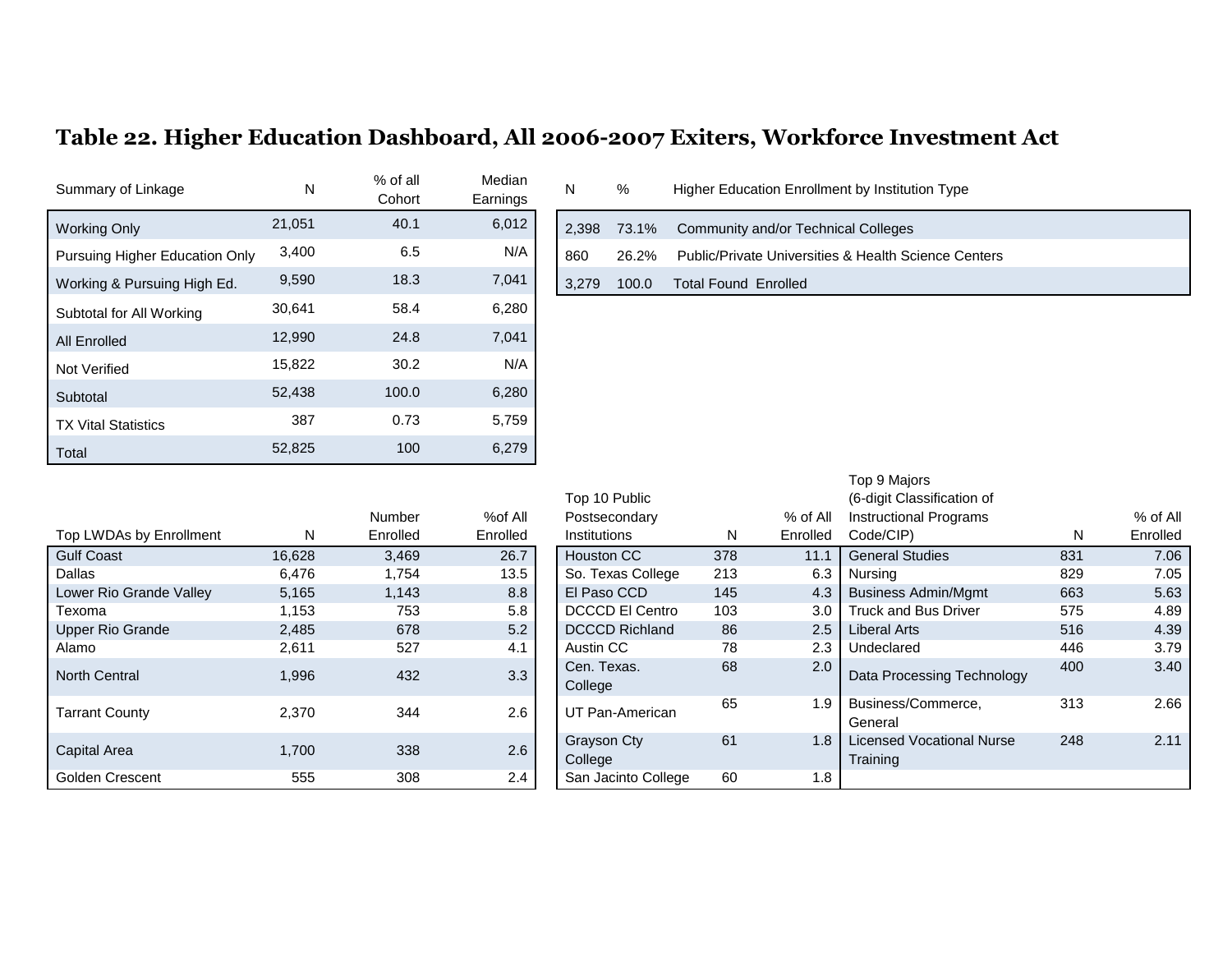## **Table 22. Higher Education Dashboard, All 2006-2007 Exiters, Workforce Investment Act**

| Summary of Linkage             | N      | % of all<br>Cohort | Median<br>Earnings | N     | %     | Higher Education Enrollment by Institution Type      |
|--------------------------------|--------|--------------------|--------------------|-------|-------|------------------------------------------------------|
| <b>Working Only</b>            | 21,051 | 40.1               | 6,012              | 2,398 | 73.1% | Community and/or Technical Colleges                  |
| Pursuing Higher Education Only | 3,400  | 6.5                | N/A                | 860   | 26.2% | Public/Private Universities & Health Science Centers |
| Working & Pursuing High Ed.    | 9,590  | 18.3               | 7,041              | 3,279 | 100.0 | <b>Total Found Enrolled</b>                          |
| Subtotal for All Working       | 30,641 | 58.4               | 6,280              |       |       |                                                      |
| All Enrolled                   | 12,990 | 24.8               | 7,041              |       |       |                                                      |
| Not Verified                   | 15,822 | 30.2               | N/A                |       |       |                                                      |
| Subtotal                       | 52,438 | 100.0              | 6,280              |       |       |                                                      |
| <b>TX Vital Statistics</b>     | 387    | 0.73               | 5,759              |       |       |                                                      |
| Total                          | 52,825 | 100                | 6,279              |       |       |                                                      |

| <b>IVICUIALI</b><br>Earnings | N     | $\%$  | Higher Education Enrollment by Institution Type                 |
|------------------------------|-------|-------|-----------------------------------------------------------------|
| 6,012                        | 2,398 |       | 73.1% Community and/or Technical Colleges                       |
| N/A                          | 860   | 26.2% | <b>Public/Private Universities &amp; Health Science Centers</b> |
| 7,041                        | 3,279 | 100.0 | <b>Total Found Enrolled</b>                                     |
| 6.280                        |       |       |                                                                 |

|                         |        | Number   | %of All  | Postsecondary          |     | % of All | <b>Instructional Programs</b> |
|-------------------------|--------|----------|----------|------------------------|-----|----------|-------------------------------|
| Top LWDAs by Enrollment | N      | Enrolled | Enrolled | <b>Institutions</b>    | N   | Enrolled | Code/CIP)                     |
| <b>Gulf Coast</b>       | 16,628 | 3,469    | 26.7     | <b>Houston CC</b>      | 378 | 11.1     | <b>General Studies</b>        |
| Dallas                  | 6.476  | 1.754    | 13.5     | So. Texas College      | 213 | 6.3      | Nursing                       |
| Lower Rio Grande Valley | 5,165  | 1.143    | 8.8      | El Paso CCD            | 145 | 4.3      | <b>Business Admin/Mgm</b>     |
| Texoma                  | 1,153  | 753      | 5.8      | <b>DCCCD El Centro</b> | 103 | 3.0      | <b>Truck and Bus Driver</b>   |
| <b>Upper Rio Grande</b> | 2.485  | 678      | 5.2      | <b>DCCCD Richland</b>  | 86  | 2.5      | <b>Liberal Arts</b>           |
| Alamo                   | 2,611  | 527      | 4.1      | Austin CC              | 78  | 2.3      | Undeclared                    |
| <b>North Central</b>    | 1,996  | 432      | 3.3      | Cen. Texas.            | 68  | 2.0      | Data Processing Tech          |
|                         |        |          |          | College                |     |          |                               |
| <b>Tarrant County</b>   | 2,370  | 344      | 2.6      | UT Pan-American        | 65  | 1.9      | Business/Commerce,<br>General |
| <b>Capital Area</b>     | 1,700  | 338      | 2.6      | <b>Grayson Cty</b>     | 61  | 1.8      | <b>Licensed Vocational N</b>  |
|                         |        |          |          | College                |     |          | Training                      |
| Golden Crescent         | 555    | 308      | 2.4      | San Jacinto College    | 60  | 1.8      |                               |

| Top LWDAs by Enrollment | N      | Number<br>Enrolled | %of All<br>Enrolled | Top 10 Public<br>Postsecondary<br>Institutions | N   | % of All<br>Enrolled | Top 9 Majors<br>(6-digit Classification of<br><b>Instructional Programs</b><br>Code/CIP) | N.  | % of All<br>Enrolled |
|-------------------------|--------|--------------------|---------------------|------------------------------------------------|-----|----------------------|------------------------------------------------------------------------------------------|-----|----------------------|
| <b>Gulf Coast</b>       | 16,628 | 3,469              | 26.7                | <b>Houston CC</b>                              | 378 | 11.1                 | <b>General Studies</b>                                                                   | 831 | 7.06                 |
| Dallas                  | 6,476  | 1,754              | 13.5                | So. Texas College                              | 213 | 6.3                  | Nursing                                                                                  | 829 | 7.05                 |
| Lower Rio Grande Valley | 5,165  | 1,143              | 8.8                 | El Paso CCD                                    | 145 | 4.3                  | <b>Business Admin/Mgmt</b>                                                               | 663 | 5.63                 |
| Texoma                  | 1,153  | 753                | 5.8                 | <b>DCCCD El Centro</b>                         | 103 | 3.0                  | <b>Truck and Bus Driver</b>                                                              | 575 | 4.89                 |
| <b>Upper Rio Grande</b> | 2,485  | 678                | 5.2                 | <b>DCCCD Richland</b>                          | 86  | 2.5                  | Liberal Arts                                                                             | 516 | 4.39                 |
| Alamo                   | 2,611  | 527                | 4.1                 | Austin CC                                      | 78  | 2.3                  | Undeclared                                                                               | 446 | 3.79                 |
| <b>North Central</b>    | 1,996  | 432                | 3.3                 | Cen. Texas.<br>College                         | 68  | 2.0                  | Data Processing Technology                                                               | 400 | 3.40                 |
| Tarrant County          | 2,370  | 344                | 2.6                 | UT Pan-American                                | 65  | 1.9                  | Business/Commerce,<br>General                                                            | 313 | 2.66                 |
| Capital Area            | 1,700  | 338                | 2.6                 | <b>Grayson Cty</b><br>College                  | 61  | 1.8                  | <b>Licensed Vocational Nurse</b><br>Training                                             | 248 | 2.11                 |
| Golden Crescent         | 555    | 308                | $2.4^{\circ}$       | San Jacinto College                            | 60  | 1.8                  |                                                                                          |     |                      |